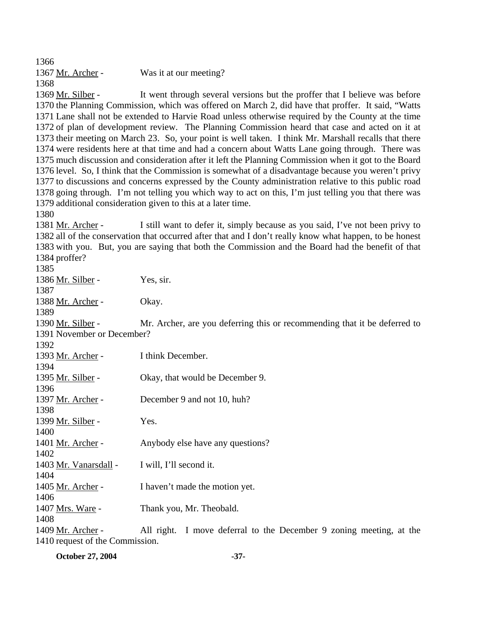1366 1367 Mr. Archer - Was it at our meeting? 1368

It went through several versions but the proffer that I believe was before 1370 the Planning Commission, which was offered on March 2, did have that proffer. It said, "Watts 1371 Lane shall not be extended to Harvie Road unless otherwise required by the County at the time 1372 of plan of development review. The Planning Commission heard that case and acted on it at 1373 their meeting on March 23. So, your point is well taken. I think Mr. Marshall recalls that there 1374 were residents here at that time and had a concern about Watts Lane going through. There was 1375 much discussion and consideration after it left the Planning Commission when it got to the Board 1376 level. So, I think that the Commission is somewhat of a disadvantage because you weren't privy 1377 to discussions and concerns expressed by the County administration relative to this public road 1378 going through. I'm not telling you which way to act on this, I'm just telling you that there was 1379 additional consideration given to this at a later time. 1369 Mr. Silber -

1380

I still want to defer it, simply because as you said, I've not been privy to 1382 all of the conservation that occurred after that and I don't really know what happen, to be honest 1383 with you. But, you are saying that both the Commission and the Board had the benefit of that 1384 proffer? 1381 Mr. Archer -

1385

1386 Mr. Silber - Yes, sir. 1387 1388 Mr. Archer - Okay. 1389 Mr. Archer, are you deferring this or recommending that it be deferred to 1391 November or December? 1390 Mr. Silber -1392 1393 Mr. Archer - I think December. 1394 1395 Mr. Silber - Okay, that would be December 9. 1396 1397 Mr. Archer - December 9 and not 10, huh? 1398 1399 Mr. Silber - Yes. 1400 1401 Mr. Archer - Anybody else have any questions? 1402 1403 Mr. Vanarsdall - I will, I'll second it. 1404 1405 Mr. Archer - I haven't made the motion yet. 1406 1407 Mrs. Ware - Thank you, Mr. Theobald. 1408 All right. I move deferral to the December 9 zoning meeting, at the 1410 request of the Commission. 1409 Mr. Archer -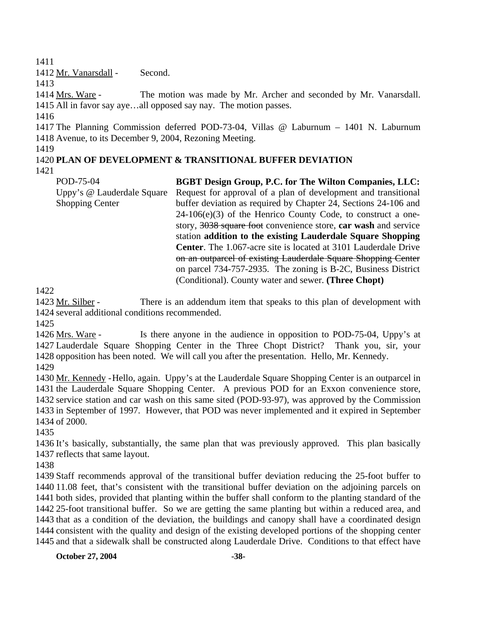1411

1412 Mr. Vanarsdall - Second.

1413

The motion was made by Mr. Archer and seconded by Mr. Vanarsdall. 1415 All in favor say aye...all opposed say nay. The motion passes. 1414 Mrs. Ware -

1416

1417 The Planning Commission deferred POD-73-04, Villas @ Laburnum – 1401 N. Laburnum 1418 Avenue, to its December 9, 2004, Rezoning Meeting.

1419

# 1420 **PLAN OF DEVELOPMENT & TRANSITIONAL BUFFER DEVIATION**

1421

POD-75-04 Uppy's @ Lauderdale Square Shopping Center **BGBT Design Group, P.C. for The Wilton Companies, LLC:**  Request for approval of a plan of development and transitional buffer deviation as required by Chapter 24, Sections 24-106 and 24-106(e)(3) of the Henrico County Code, to construct a onestory, 3038 square foot convenience store, **car wash** and service station **addition to the existing Lauderdale Square Shopping Center**. The 1.067-acre site is located at 3101 Lauderdale Drive on an outparcel of existing Lauderdale Square Shopping Center on parcel 734-757-2935. The zoning is B-2C, Business District (Conditional). County water and sewer. **(Three Chopt)** 

1422

There is an addendum item that speaks to this plan of development with 1424 several additional conditions recommended. 1423 Mr. Silber -

1425

Is there anyone in the audience in opposition to POD-75-04, Uppy's at 1427 Lauderdale Square Shopping Center in the Three Chopt District? Thank you, sir, your 1428 opposition has been noted. We will call you after the presentation. Hello, Mr. Kennedy. 1426 Mrs. Ware -

1429

1430 Mr. Kennedy - Hello, again. Uppy's at the Lauderdale Square Shopping Center is an outparcel in 1431 the Lauderdale Square Shopping Center. A previous POD for an Exxon convenience store, 1432 service station and car wash on this same sited (POD-93-97), was approved by the Commission 1433 in September of 1997. However, that POD was never implemented and it expired in September 1434 of 2000.

1435

1436 It's basically, substantially, the same plan that was previously approved. This plan basically 1437 reflects that same layout.

1438

 Staff recommends approval of the transitional buffer deviation reducing the 25-foot buffer to 11.08 feet, that's consistent with the transitional buffer deviation on the adjoining parcels on both sides, provided that planting within the buffer shall conform to the planting standard of the 25-foot transitional buffer. So we are getting the same planting but within a reduced area, and that as a condition of the deviation, the buildings and canopy shall have a coordinated design consistent with the quality and design of the existing developed portions of the shopping center and that a sidewalk shall be constructed along Lauderdale Drive. Conditions to that effect have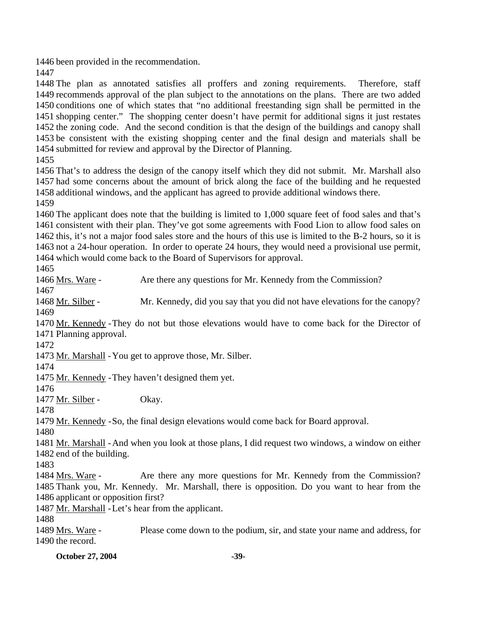been provided in the recommendation.

 The plan as annotated satisfies all proffers and zoning requirements. Therefore, staff recommends approval of the plan subject to the annotations on the plans. There are two added conditions one of which states that "no additional freestanding sign shall be permitted in the shopping center." The shopping center doesn't have permit for additional signs it just restates the zoning code. And the second condition is that the design of the buildings and canopy shall be consistent with the existing shopping center and the final design and materials shall be submitted for review and approval by the Director of Planning.

 That's to address the design of the canopy itself which they did not submit. Mr. Marshall also had some concerns about the amount of brick along the face of the building and he requested additional windows, and the applicant has agreed to provide additional windows there.

 The applicant does note that the building is limited to 1,000 square feet of food sales and that's consistent with their plan. They've got some agreements with Food Lion to allow food sales on this, it's not a major food sales store and the hours of this use is limited to the B-2 hours, so it is not a 24-hour operation. In order to operate 24 hours, they would need a provisional use permit, which would come back to the Board of Supervisors for approval.

1466 Mrs. Ware - Are there any questions for Mr. Kennedy from the Commission? 

1468 Mr. Silber - Mr. Kennedy, did you say that you did not have elevations for the canopy? 

1470 Mr. Kennedy - They do not but those elevations would have to come back for the Director of 1471 Planning approval.

1473 Mr. Marshall - You get to approve those, Mr. Silber.

1475 Mr. Kennedy - They haven't designed them yet.

1477 Mr. Silber - Okay.

1479 Mr. Kennedy - So, the final design elevations would come back for Board approval.

1481 Mr. Marshall - And when you look at those plans, I did request two windows, a window on either 1482 end of the building.

Are there any more questions for Mr. Kennedy from the Commission? 1485 Thank you, Mr. Kennedy. Mr. Marshall, there is opposition. Do you want to hear from the 1486 applicant or opposition first? 1484 Mrs. Ware -

1487 Mr. Marshall - Let's hear from the applicant.

Please come down to the podium, sir, and state your name and address, for 1490 the record. 1489 Mrs. Ware -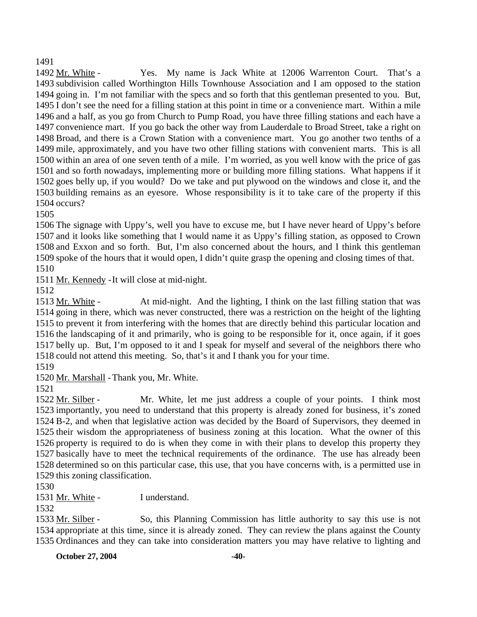1491

Yes. My name is Jack White at 12006 Warrenton Court. That's a 1493 subdivision called Worthington Hills Townhouse Association and I am opposed to the station 1494 going in. I'm not familiar with the specs and so forth that this gentleman presented to you. But, 1495 I don't see the need for a filling station at this point in time or a convenience mart. Within a mile 1496 and a half, as you go from Church to Pump Road, you have three filling stations and each have a 1497 convenience mart. If you go back the other way from Lauderdale to Broad Street, take a right on 1498 Broad, and there is a Crown Station with a convenience mart. You go another two tenths of a 1499 mile, approximately, and you have two other filling stations with convenient marts. This is all 1500 within an area of one seven tenth of a mile. I'm worried, as you well know with the price of gas 1501 and so forth nowadays, implementing more or building more filling stations. What happens if it 1502 goes belly up, if you would? Do we take and put plywood on the windows and close it, and the 1503 building remains as an eyesore. Whose responsibility is it to take care of the property if this 1504 occurs? 1492 Mr. White -

1505

 The signage with Uppy's, well you have to excuse me, but I have never heard of Uppy's before and it looks like something that I would name it as Uppy's filling station, as opposed to Crown and Exxon and so forth. But, I'm also concerned about the hours, and I think this gentleman spoke of the hours that it would open, I didn't quite grasp the opening and closing times of that. 1510

1511 Mr. Kennedy - It will close at mid-night.

1512

At mid-night. And the lighting, I think on the last filling station that was 1514 going in there, which was never constructed, there was a restriction on the height of the lighting 1515 to prevent it from interfering with the homes that are directly behind this particular location and 1516 the landscaping of it and primarily, who is going to be responsible for it, once again, if it goes 1517 belly up. But, I'm opposed to it and I speak for myself and several of the neighbors there who 1518 could not attend this meeting. So, that's it and I thank you for your time. 1513 Mr. White -

1519

1520 Mr. Marshall - Thank you, Mr. White.

1521

Mr. White, let me just address a couple of your points. I think most 1523 importantly, you need to understand that this property is already zoned for business, it's zoned 1524 B-2, and when that legislative action was decided by the Board of Supervisors, they deemed in 1525 their wisdom the appropriateness of business zoning at this location. What the owner of this 1526 property is required to do is when they come in with their plans to develop this property they 1527 basically have to meet the technical requirements of the ordinance. The use has already been 1528 determined so on this particular case, this use, that you have concerns with, is a permitted use in 1529 this zoning classification. 1522 Mr. Silber -

1530

1531 Mr. White - I understand.

1532

So, this Planning Commission has little authority to say this use is not 1534 appropriate at this time, since it is already zoned. They can review the plans against the County 1535 Ordinances and they can take into consideration matters you may have relative to lighting and 1533 Mr. Silber -

**October 27, 2004** -40-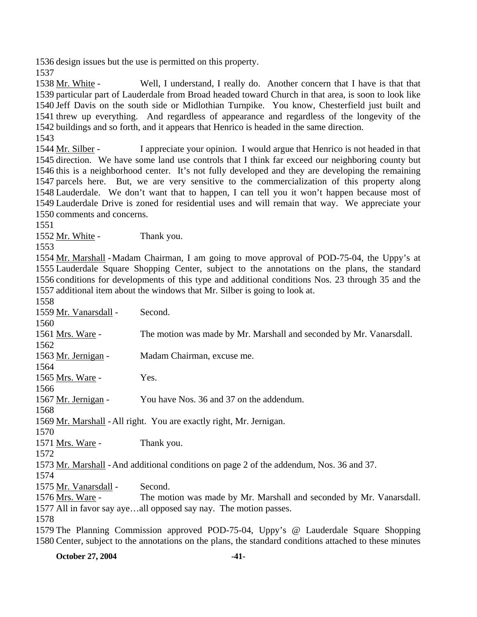1536 design issues but the use is permitted on this property.

1537

Well, I understand, I really do. Another concern that I have is that that 1539 particular part of Lauderdale from Broad headed toward Church in that area, is soon to look like 1540 Jeff Davis on the south side or Midlothian Turnpike. You know, Chesterfield just built and 1541 threw up everything. And regardless of appearance and regardless of the longevity of the 1542 buildings and so forth, and it appears that Henrico is headed in the same direction. 1538 Mr. White -

1543

I appreciate your opinion. I would argue that Henrico is not headed in that 1545 direction. We have some land use controls that I think far exceed our neighboring county but 1546 this is a neighborhood center. It's not fully developed and they are developing the remaining 1547 parcels here. But, we are very sensitive to the commercialization of this property along 1548 Lauderdale. We don't want that to happen, I can tell you it won't happen because most of 1549 Lauderdale Drive is zoned for residential uses and will remain that way. We appreciate your 1550 comments and concerns. 1544 Mr. Silber -

1551

1552 Mr. White - Thank you.

1553

1554 Mr. Marshall - Madam Chairman, I am going to move approval of POD-75-04, the Uppy's at 1555 Lauderdale Square Shopping Center, subject to the annotations on the plans, the standard 1556 conditions for developments of this type and additional conditions Nos. 23 through 35 and the 1557 additional item about the windows that Mr. Silber is going to look at.

1558

| 1558                                                                                                    |                                                                                          |  |
|---------------------------------------------------------------------------------------------------------|------------------------------------------------------------------------------------------|--|
| 1559 Mr. Vanarsdall -                                                                                   | Second.                                                                                  |  |
| 1560                                                                                                    |                                                                                          |  |
| 1561 Mrs. Ware -                                                                                        | The motion was made by Mr. Marshall and seconded by Mr. Vanarsdall.                      |  |
| 1562                                                                                                    |                                                                                          |  |
| 1563 Mr. Jernigan -                                                                                     | Madam Chairman, excuse me.                                                               |  |
| 1564                                                                                                    |                                                                                          |  |
| 1565 Mrs. Ware -                                                                                        | Yes.                                                                                     |  |
| 1566                                                                                                    |                                                                                          |  |
| 1567 Mr. Jernigan -                                                                                     | You have Nos. 36 and 37 on the addendum.                                                 |  |
| 1568                                                                                                    |                                                                                          |  |
| 1569 Mr. Marshall - All right. You are exactly right, Mr. Jernigan.                                     |                                                                                          |  |
| 1570                                                                                                    |                                                                                          |  |
| 1571 Mrs. Ware -                                                                                        | Thank you.                                                                               |  |
| 1572                                                                                                    |                                                                                          |  |
|                                                                                                         | 1573 Mr. Marshall - And additional conditions on page 2 of the addendum, Nos. 36 and 37. |  |
| 1574                                                                                                    |                                                                                          |  |
| 1575 Mr. Vanarsdall -                                                                                   | Second.                                                                                  |  |
| 1576 Mrs. Ware -                                                                                        | The motion was made by Mr. Marshall and seconded by Mr. Vanarsdall.                      |  |
|                                                                                                         | 1577 All in favor say ayeall opposed say nay. The motion passes.                         |  |
| 1578                                                                                                    |                                                                                          |  |
|                                                                                                         | 1579 The Planning Commission approved POD-75-04, Uppy's @ Lauderdale Square Shopping     |  |
| 1580 Center, subject to the annotations on the plans, the standard conditions attached to these minutes |                                                                                          |  |

**October 27, 2004** -41-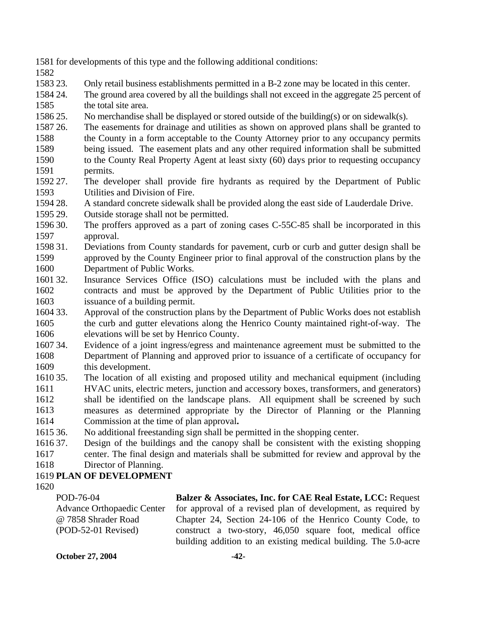- 1581 for developments of this type and the following additional conditions:
- 1582
- 1583 23. 23. Only retail business establishments permitted in a B-2 zone may be located in this center.
- 1584 24. 1585 The ground area covered by all the buildings shall not exceed in the aggregate 25 percent of the total site area.
- 1586 25. No merchandise shall be displayed or stored outside of the building(s) or on sidewalk(s).
- 1587 26. 1588 1589 The easements for drainage and utilities as shown on approved plans shall be granted to the County in a form acceptable to the County Attorney prior to any occupancy permits being issued. The easement plats and any other required information shall be submitted
- 1590 1591 to the County Real Property Agent at least sixty (60) days prior to requesting occupancy permits.
- 1592 27. 1593 The developer shall provide fire hydrants as required by the Department of Public Utilities and Division of Fire.
- 1594 28. A standard concrete sidewalk shall be provided along the east side of Lauderdale Drive.
- 1595 29. Outside storage shall not be permitted.
- 1596 30. 1597 The proffers approved as a part of zoning cases C-55C-85 shall be incorporated in this approval.
- 1598 31. 1599 1600 Deviations from County standards for pavement, curb or curb and gutter design shall be approved by the County Engineer prior to final approval of the construction plans by the Department of Public Works.
- 1601 32. 1602 1603 Insurance Services Office (ISO) calculations must be included with the plans and contracts and must be approved by the Department of Public Utilities prior to the issuance of a building permit.
- 1604 33. 1605 1606 Approval of the construction plans by the Department of Public Works does not establish the curb and gutter elevations along the Henrico County maintained right-of-way. The elevations will be set by Henrico County.
- 1607 34. 1608 1609 Evidence of a joint ingress/egress and maintenance agreement must be submitted to the Department of Planning and approved prior to issuance of a certificate of occupancy for this development.
- 1610 35. 1611 1612 1613 35. The location of all existing and proposed utility and mechanical equipment (including HVAC units, electric meters, junction and accessory boxes, transformers, and generators) shall be identified on the landscape plans. All equipment shall be screened by such measures as determined appropriate by the Director of Planning or the Planning
- 1614 Commission at the time of plan approval**.**
- 1615 36. 36. No additional freestanding sign shall be permitted in the shopping center.
- 1616 37. 1617 37. Design of the buildings and the canopy shall be consistent with the existing shopping center. The final design and materials shall be submitted for review and approval by the
- 1618 Director of Planning.

## 1619 **PLAN OF DEVELOPMENT**

1620

POD-76-04 Advance Orthopaedic Center @ 7858 Shrader Road (POD-52-01 Revised) **Balzer & Associates, Inc. for CAE Real Estate, LCC:** Request for approval of a revised plan of development, as required by Chapter 24, Section 24-106 of the Henrico County Code, to construct a two-story, 46,050 square foot, medical office building addition to an existing medical building. The 5.0-acre

**October 27, 2004** -42-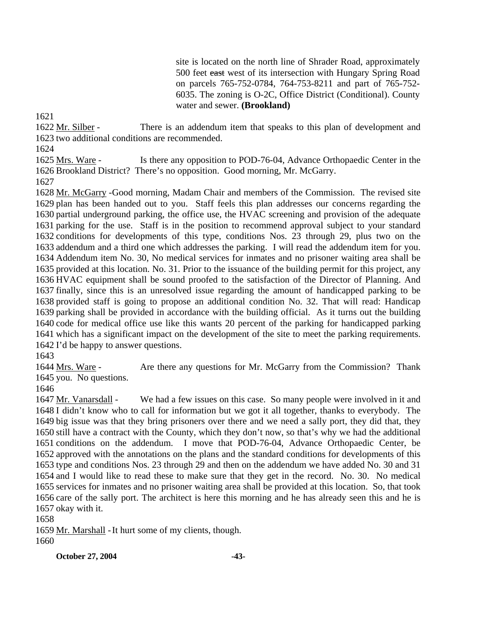site is located on the north line of Shrader Road, approximately 500 feet east west of its intersection with Hungary Spring Road on parcels 765-752-0784, 764-753-8211 and part of 765-752- 6035. The zoning is O-2C, Office District (Conditional). County water and sewer. **(Brookland)** 

1621

There is an addendum item that speaks to this plan of development and 1623 two additional conditions are recommended. 1622 Mr. Silber -

1624

Is there any opposition to POD-76-04, Advance Orthopaedic Center in the 1626 Brookland District? There's no opposition. Good morning, Mr. McGarry. 1625 Mrs. Ware -

1627

1628 Mr. McGarry - Good morning, Madam Chair and members of the Commission. The revised site 1629 plan has been handed out to you. Staff feels this plan addresses our concerns regarding the 1630 partial underground parking, the office use, the HVAC screening and provision of the adequate 1631 parking for the use. Staff is in the position to recommend approval subject to your standard 1632 conditions for developments of this type, conditions Nos. 23 through 29, plus two on the 1633 addendum and a third one which addresses the parking. I will read the addendum item for you. Addendum item No. 30, No medical services for inmates and no prisoner waiting area shall be 1634 1635 provided at this location. No. 31. Prior to the issuance of the building permit for this project, any 1636 HVAC equipment shall be sound proofed to the satisfaction of the Director of Planning. And 1637 finally, since this is an unresolved issue regarding the amount of handicapped parking to be 1638 provided staff is going to propose an additional condition No. 32. That will read: Handicap 1639 parking shall be provided in accordance with the building official. As it turns out the building 1640 code for medical office use like this wants 20 percent of the parking for handicapped parking 1641 which has a significant impact on the development of the site to meet the parking requirements. 1642 I'd be happy to answer questions.

1643

Are there any questions for Mr. McGarry from the Commission? Thank 1645 you. No questions. 1644 Mrs. Ware -

1646

We had a few issues on this case. So many people were involved in it and 1648 I didn't know who to call for information but we got it all together, thanks to everybody. The 1649 big issue was that they bring prisoners over there and we need a sally port, they did that, they 1650 still have a contract with the County, which they don't now, so that's why we had the additional 1651 conditions on the addendum. I move that POD-76-04, Advance Orthopaedic Center, be 1652 approved with the annotations on the plans and the standard conditions for developments of this 1653 type and conditions Nos. 23 through 29 and then on the addendum we have added No. 30 and 31 1654 and I would like to read these to make sure that they get in the record. No. 30. No medical 1655 services for inmates and no prisoner waiting area shall be provided at this location. So, that took 1656 care of the sally port. The architect is here this morning and he has already seen this and he is 1657 okay with it. 1647 Mr. Vanarsdall -

1658

1659 Mr. Marshall - It hurt some of my clients, though. 1660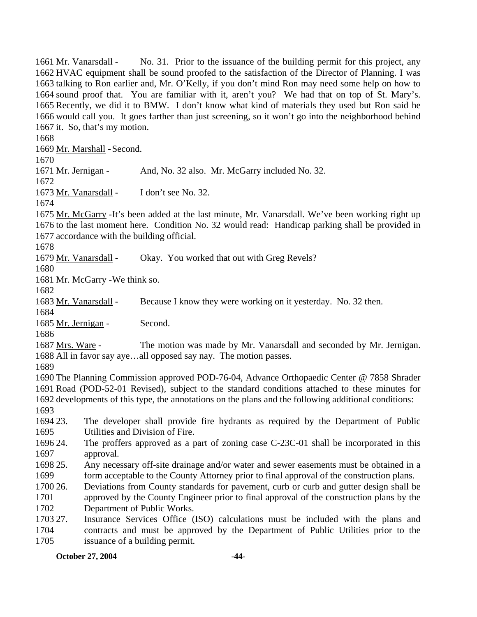No. 31. Prior to the issuance of the building permit for this project, any 1662 HVAC equipment shall be sound proofed to the satisfaction of the Director of Planning. I was 1663 talking to Ron earlier and, Mr. O'Kelly, if you don't mind Ron may need some help on how to 1664 sound proof that. You are familiar with it, aren't you? We had that on top of St. Mary's. 1665 Recently, we did it to BMW. I don't know what kind of materials they used but Ron said he 1666 would call you. It goes farther than just screening, so it won't go into the neighborhood behind 1667 it. So, that's my motion. 1661 Mr. Vanarsdall -1668 1669 Mr. Marshall - Second. 1670 1671 Mr. Jernigan - And, No. 32 also. Mr. McGarry included No. 32. 1672 1673 Mr. Vanarsdall - I don't see No. 32. 1674 1675 Mr. McGarry - It's been added at the last minute, Mr. Vanarsdall. We've been working right up 1676 to the last moment here. Condition No. 32 would read: Handicap parking shall be provided in 1677 accordance with the building official. 1678 1679 Mr. Vanarsdall - Okay. You worked that out with Greg Revels? 1680 1681 Mr. McGarry - We think so. 1682 1683 Mr. Vanarsdall - Because I know they were working on it yesterday. No. 32 then. 1684 1685 Mr. Jernigan - Second. 1686 The motion was made by Mr. Vanarsdall and seconded by Mr. Jernigan. 1688 All in favor say aye...all opposed say nay. The motion passes. 1687 Mrs. Ware -1689 1690 The Planning Commission approved POD-76-04, Advance Orthopaedic Center @ 7858 Shrader 1691 Road (POD-52-01 Revised), subject to the standard conditions attached to these minutes for 1692 developments of this type, the annotations on the plans and the following additional conditions: 1693 1694 23. 1695 1696 24 1697 1698 25. 1699 1700 26. 1701 1702 1703 27. 1704 1705 23. The developer shall provide fire hydrants as required by the Department of Public Utilities and Division of Fire. The proffers approved as a part of zoning case C-23C-01 shall be incorporated in this approval. Any necessary off-site drainage and/or water and sewer easements must be obtained in a form acceptable to the County Attorney prior to final approval of the construction plans. 26. Deviations from County standards for pavement, curb or curb and gutter design shall be approved by the County Engineer prior to final approval of the construction plans by the Department of Public Works. Insurance Services Office (ISO) calculations must be included with the plans and contracts and must be approved by the Department of Public Utilities prior to the issuance of a building permit.

#### **October 27, 2004** -44-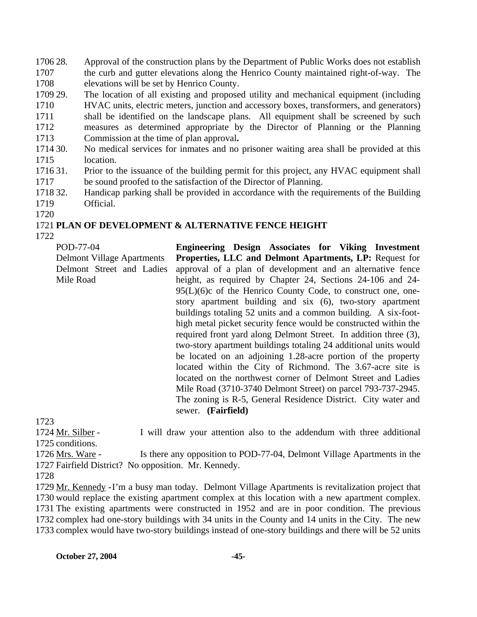1706 28. 1707 1708 Approval of the construction plans by the Department of Public Works does not establish the curb and gutter elevations along the Henrico County maintained right-of-way. The elevations will be set by Henrico County.

1709 29. 1710 1711 1712 1713 The location of all existing and proposed utility and mechanical equipment (including HVAC units, electric meters, junction and accessory boxes, transformers, and generators) shall be identified on the landscape plans. All equipment shall be screened by such measures as determined appropriate by the Director of Planning or the Planning Commission at the time of plan approval**.**

1714 30. 1715 30. No medical services for inmates and no prisoner waiting area shall be provided at this location.

- 1716 31. 1717 Prior to the issuance of the building permit for this project, any HVAC equipment shall be sound proofed to the satisfaction of the Director of Planning.
- 1718 32. 1719 32. Handicap parking shall be provided in accordance with the requirements of the Building Official.
- 1720

# 1721 **PLAN OF DEVELOPMENT & ALTERNATIVE FENCE HEIGHT**

1722

POD-77-04 Delmont Village Apartments Delmont Street and Ladies Mile Road

**Engineering Design Associates for Viking Investment Properties, LLC and Delmont Apartments, LP:** Request for approval of a plan of development and an alternative fence height, as required by Chapter 24, Sections 24-106 and 24- 95(L)(6)c of the Henrico County Code, to construct one, onestory apartment building and six (6), two-story apartment buildings totaling 52 units and a common building. A six-foothigh metal picket security fence would be constructed within the required front yard along Delmont Street. In addition three (3), two-story apartment buildings totaling 24 additional units would be located on an adjoining 1.28-acre portion of the property located within the City of Richmond. The 3.67-acre site is located on the northwest corner of Delmont Street and Ladies Mile Road (3710-3740 Delmont Street) on parcel 793-737-2945. The zoning is R-5, General Residence District. City water and sewer. **(Fairfield)** 

1723

I will draw your attention also to the addendum with three additional 1725 conditions. 1724 Mr. Silber -

Is there any opposition to POD-77-04, Delmont Village Apartments in the 1727 Fairfield District? No opposition. Mr. Kennedy. 1726 Mrs. Ware -

1728

1729 Mr. Kennedy - I'm a busy man today. Delmont Village Apartments is revitalization project that 1730 would replace the existing apartment complex at this location with a new apartment complex. 1731 The existing apartments were constructed in 1952 and are in poor condition. The previous 1732 complex had one-story buildings with 34 units in the County and 14 units in the City. The new 1733 complex would have two-story buildings instead of one-story buildings and there will be 52 units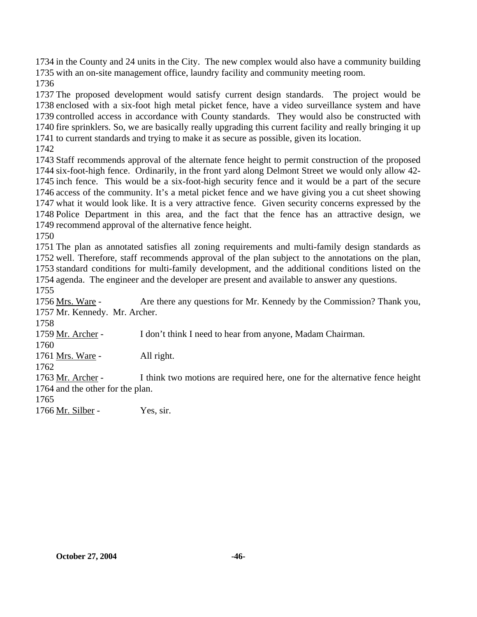in the County and 24 units in the City. The new complex would also have a community building with an on-site management office, laundry facility and community meeting room.

 The proposed development would satisfy current design standards. The project would be enclosed with a six-foot high metal picket fence, have a video surveillance system and have controlled access in accordance with County standards. They would also be constructed with fire sprinklers. So, we are basically really upgrading this current facility and really bringing it up to current standards and trying to make it as secure as possible, given its location.

 Staff recommends approval of the alternate fence height to permit construction of the proposed six-foot-high fence. Ordinarily, in the front yard along Delmont Street we would only allow 42- inch fence. This would be a six-foot-high security fence and it would be a part of the secure access of the community. It's a metal picket fence and we have giving you a cut sheet showing what it would look like. It is a very attractive fence. Given security concerns expressed by the Police Department in this area, and the fact that the fence has an attractive design, we recommend approval of the alternative fence height.

 The plan as annotated satisfies all zoning requirements and multi-family design standards as well. Therefore, staff recommends approval of the plan subject to the annotations on the plan, standard conditions for multi-family development, and the additional conditions listed on the agenda. The engineer and the developer are present and available to answer any questions. 

Are there any questions for Mr. Kennedy by the Commission? Thank you, 1757 Mr. Kennedy. Mr. Archer. 1756 Mrs. Ware - 1759 Mr. Archer - I don't think I need to hear from anyone, Madam Chairman. 1761 Mrs. Ware - All right. I think two motions are required here, one for the alternative fence height 1764 and the other for the plan. 1763 Mr. Archer - 1766 Mr. Silber - Yes, sir.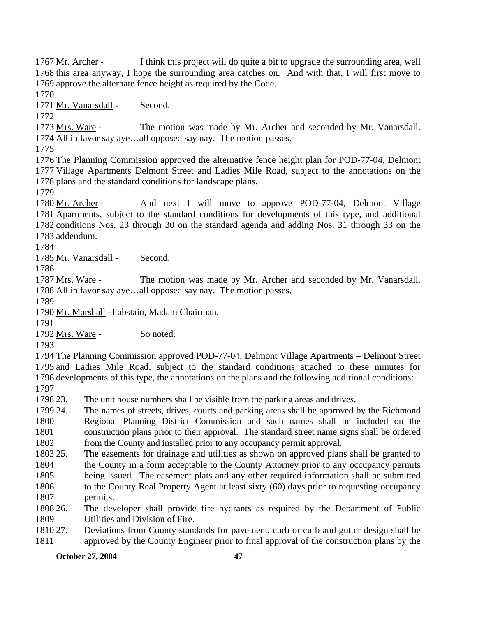I think this project will do quite a bit to upgrade the surrounding area, well 1768 this area anyway, I hope the surrounding area catches on. And with that, I will first move to 1769 approve the alternate fence height as required by the Code. 1767 Mr. Archer -

1770

1771 Mr. Vanarsdall - Second.

1772

The motion was made by Mr. Archer and seconded by Mr. Vanarsdall. 1774 All in favor say aye...all opposed say nay. The motion passes. 1773 Mrs. Ware -

1775

1776 The Planning Commission approved the alternative fence height plan for POD-77-04, Delmont 1777 Village Apartments Delmont Street and Ladies Mile Road, subject to the annotations on the 1778 plans and the standard conditions for landscape plans.

1779

And next I will move to approve POD-77-04, Delmont Village 1781 Apartments, subject to the standard conditions for developments of this type, and additional 1782 conditions Nos. 23 through 30 on the standard agenda and adding Nos. 31 through 33 on the 1783 addendum. 1780 Mr. Archer -

1784

1785 Mr. Vanarsdall - Second.

1786

The motion was made by Mr. Archer and seconded by Mr. Vanarsdall. 1788 All in favor say aye...all opposed say nay. The motion passes. 1787 Mrs. Ware -

1789

1790 Mr. Marshall - I abstain, Madam Chairman.

1791

1792 Mrs. Ware - So noted.

1793

 The Planning Commission approved POD-77-04, Delmont Village Apartments – Delmont Street and Ladies Mile Road, subject to the standard conditions attached to these minutes for developments of this type, the annotations on the plans and the following additional conditions: 1797

1798 23. The unit house numbers shall be visible from the parking areas and drives.

1799 24. 1800 1801 1802 The names of streets, drives, courts and parking areas shall be approved by the Richmond Regional Planning District Commission and such names shall be included on the construction plans prior to their approval. The standard street name signs shall be ordered from the County and installed prior to any occupancy permit approval.

1803 25. 1804 The easements for drainage and utilities as shown on approved plans shall be granted to the County in a form acceptable to the County Attorney prior to any occupancy permits

1805 being issued. The easement plats and any other required information shall be submitted

1806 1807 to the County Real Property Agent at least sixty (60) days prior to requesting occupancy permits.

1808 26 1809 The developer shall provide fire hydrants as required by the Department of Public Utilities and Division of Fire.

1810 27. 1811 Deviations from County standards for pavement, curb or curb and gutter design shall be approved by the County Engineer prior to final approval of the construction plans by the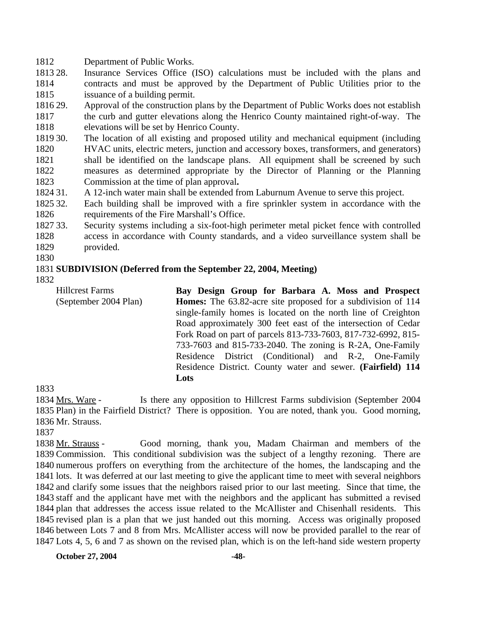1812 Department of Public Works.

- 1813 28. 1814 1815 Insurance Services Office (ISO) calculations must be included with the plans and contracts and must be approved by the Department of Public Utilities prior to the issuance of a building permit.
- 1816 29. 1817 1818 29. Approval of the construction plans by the Department of Public Works does not establish the curb and gutter elevations along the Henrico County maintained right-of-way. The elevations will be set by Henrico County.
- 1819 30. 1820 1821 1822 1823 The location of all existing and proposed utility and mechanical equipment (including HVAC units, electric meters, junction and accessory boxes, transformers, and generators) shall be identified on the landscape plans. All equipment shall be screened by such measures as determined appropriate by the Director of Planning or the Planning Commission at the time of plan approval**.**
- 1824 31. A 12-inch water main shall be extended from Laburnum Avenue to serve this project.
- 1825 32. 1826 Each building shall be improved with a fire sprinkler system in accordance with the requirements of the Fire Marshall's Office.

1827 33. 1828 1829 Security systems including a six-foot-high perimeter metal picket fence with controlled access in accordance with County standards, and a video surveillance system shall be provided.

1830

#### 1831 **SUBDIVISION (Deferred from the September 22, 2004, Meeting)**

1832

Hillcrest Farms (September 2004 Plan) **Bay Design Group for Barbara A. Moss and Prospect Homes:** The 63.82-acre site proposed for a subdivision of 114 single-family homes is located on the north line of Creighton Road approximately 300 feet east of the intersection of Cedar Fork Road on part of parcels 813-733-7603, 817-732-6992, 815- 733-7603 and 815-733-2040. The zoning is R-2A, One-Family Residence District (Conditional) and R-2, One-Family Residence District. County water and sewer. **(Fairfield) 114 Lots** 

1833

Is there any opposition to Hillcrest Farms subdivision (September 2004) 1835 Plan) in the Fairfield District? There is opposition. You are noted, thank you. Good morning, 1836 Mr. Strauss. 1834 Mrs. Ware -

1837

Good morning, thank you, Madam Chairman and members of the 1839 Commission. This conditional subdivision was the subject of a lengthy rezoning. There are 1840 numerous proffers on everything from the architecture of the homes, the landscaping and the 1841 lots. It was deferred at our last meeting to give the applicant time to meet with several neighbors 1842 and clarify some issues that the neighbors raised prior to our last meeting. Since that time, the 1843 staff and the applicant have met with the neighbors and the applicant has submitted a revised 1844 plan that addresses the access issue related to the McAllister and Chisenhall residents. This 1845 revised plan is a plan that we just handed out this morning. Access was originally proposed 1846 between Lots 7 and 8 from Mrs. McAllister access will now be provided parallel to the rear of 1847 Lots 4, 5, 6 and 7 as shown on the revised plan, which is on the left-hand side western property 1838 Mr. Strauss -

**October 27, 2004** -48-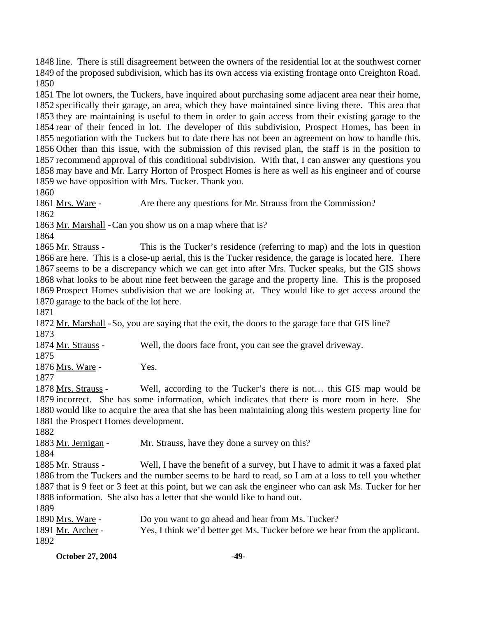1848 line. There is still disagreement between the owners of the residential lot at the southwest corner 1849 of the proposed subdivision, which has its own access via existing frontage onto Creighton Road. 1850

 The lot owners, the Tuckers, have inquired about purchasing some adjacent area near their home, specifically their garage, an area, which they have maintained since living there. This area that they are maintaining is useful to them in order to gain access from their existing garage to the rear of their fenced in lot. The developer of this subdivision, Prospect Homes, has been in negotiation with the Tuckers but to date there has not been an agreement on how to handle this. Other than this issue, with the submission of this revised plan, the staff is in the position to recommend approval of this conditional subdivision. With that, I can answer any questions you may have and Mr. Larry Horton of Prospect Homes is here as well as his engineer and of course we have opposition with Mrs. Tucker. Thank you.

1860

1861 Mrs. Ware - Are there any questions for Mr. Strauss from the Commission? 1862

1863 Mr. Marshall - Can you show us on a map where that is?

1864

This is the Tucker's residence (referring to map) and the lots in question 1866 are here. This is a close-up aerial, this is the Tucker residence, the garage is located here. There 1867 seems to be a discrepancy which we can get into after Mrs. Tucker speaks, but the GIS shows 1868 what looks to be about nine feet between the garage and the property line. This is the proposed 1869 Prospect Homes subdivision that we are looking at. They would like to get access around the 1870 garage to the back of the lot here. 1865 Mr. Strauss -

1871

1872 Mr. Marshall - So, you are saying that the exit, the doors to the garage face that GIS line? 1873

| 1874 Mr. Strauss - |  |  | Well, the doors face front, you can see the gravel driveway. |
|--------------------|--|--|--------------------------------------------------------------|
|--------------------|--|--|--------------------------------------------------------------|

1875

1876 Mrs. Ware - Yes.

1877

Well, according to the Tucker's there is not... this GIS map would be 1879 incorrect. She has some information, which indicates that there is more room in here. She 1880 would like to acquire the area that she has been maintaining along this western property line for 1881 the Prospect Homes development. 1878 Mrs. Strauss -

1882

1883 Mr. Jernigan - Mr. Strauss, have they done a survey on this?

1884

Well, I have the benefit of a survey, but I have to admit it was a faxed plat 1886 from the Tuckers and the number seems to be hard to read, so I am at a loss to tell you whether 1887 that is 9 feet or 3 feet at this point, but we can ask the engineer who can ask Ms. Tucker for her 1888 information. She also has a letter that she would like to hand out. 1885 Mr. Strauss -1000

| 100Y              |                                                                            |
|-------------------|----------------------------------------------------------------------------|
| 1890 Mrs. Ware -  | Do you want to go ahead and hear from Ms. Tucker?                          |
| 1891 Mr. Archer - | Yes, I think we'd better get Ms. Tucker before we hear from the applicant. |
| 1892              |                                                                            |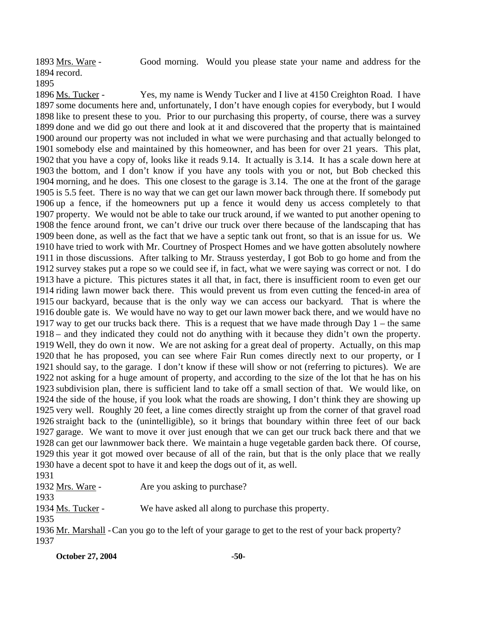Good morning. Would you please state your name and address for the 1894 record. 1893 Mrs. Ware -1895

Yes, my name is Wendy Tucker and I live at 4150 Creighton Road. I have 1897 some documents here and, unfortunately, I don't have enough copies for everybody, but I would 1898 like to present these to you. Prior to our purchasing this property, of course, there was a survey 1899 done and we did go out there and look at it and discovered that the property that is maintained 1900 around our property was not included in what we were purchasing and that actually belonged to 1901 somebody else and maintained by this homeowner, and has been for over 21 years. This plat, 1902 that you have a copy of, looks like it reads 9.14. It actually is 3.14. It has a scale down here at 1903 the bottom, and I don't know if you have any tools with you or not, but Bob checked this 1904 morning, and he does. This one closest to the garage is 3.14. The one at the front of the garage 1905 is 5.5 feet. There is no way that we can get our lawn mower back through there. If somebody put 1906 up a fence, if the homeowners put up a fence it would deny us access completely to that 1907 property. We would not be able to take our truck around, if we wanted to put another opening to 1908 the fence around front, we can't drive our truck over there because of the landscaping that has 1909 been done, as well as the fact that we have a septic tank out front, so that is an issue for us. We 1910 have tried to work with Mr. Courtney of Prospect Homes and we have gotten absolutely nowhere 1911 in those discussions. After talking to Mr. Strauss yesterday, I got Bob to go home and from the 1912 survey stakes put a rope so we could see if, in fact, what we were saying was correct or not. I do 1913 have a picture. This pictures states it all that, in fact, there is insufficient room to even get our 1914 riding lawn mower back there. This would prevent us from even cutting the fenced-in area of 1915 our backyard, because that is the only way we can access our backyard. That is where the 1916 double gate is. We would have no way to get our lawn mower back there, and we would have no 1917 way to get our trucks back there. This is a request that we have made through Day  $1$  – the same – and they indicated they could not do anything with it because they didn't own the property. 1918 Well, they do own it now. We are not asking for a great deal of property. Actually, on this map 1919 1920 that he has proposed, you can see where Fair Run comes directly next to our property, or I 1921 should say, to the garage. I don't know if these will show or not (referring to pictures). We are 1922 not asking for a huge amount of property, and according to the size of the lot that he has on his 1923 subdivision plan, there is sufficient land to take off a small section of that. We would like, on 1924 the side of the house, if you look what the roads are showing, I don't think they are showing up 1925 very well. Roughly 20 feet, a line comes directly straight up from the corner of that gravel road 1926 straight back to the (unintelligible), so it brings that boundary within three feet of our back 1927 garage. We want to move it over just enough that we can get our truck back there and that we 1928 can get our lawnmower back there. We maintain a huge vegetable garden back there. Of course, 1929 this year it got mowed over because of all of the rain, but that is the only place that we really 1930 have a decent spot to have it and keep the dogs out of it, as well. 1896 Ms. Tucker -

1931

1932 Mrs. Ware - Are you asking to purchase?

1933

1934 Ms. Tucker - We have asked all along to purchase this property.

1935

1936 Mr. Marshall - Can you go to the left of your garage to get to the rest of your back property? 1937

**October 27, 2004** -50-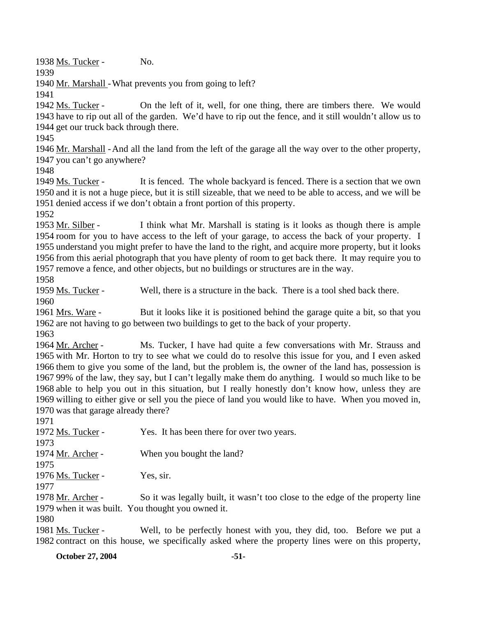1938 Ms. Tucker - No.

1939

1940 Mr. Marshall - What prevents you from going to left?

1941

On the left of it, well, for one thing, there are timbers there. We would 1943 have to rip out all of the garden. We'd have to rip out the fence, and it still wouldn't allow us to 1944 get our truck back through there. 1942 Ms. Tucker -

1945

1946 Mr. Marshall - And all the land from the left of the garage all the way over to the other property, 1947 you can't go anywhere?

1948

It is fenced. The whole backyard is fenced. There is a section that we own 1950 and it is not a huge piece, but it is still sizeable, that we need to be able to access, and we will be 1951 denied access if we don't obtain a front portion of this property. 1949 Ms. Tucker -

1952

I think what Mr. Marshall is stating is it looks as though there is ample 1954 room for you to have access to the left of your garage, to access the back of your property. I 1955 understand you might prefer to have the land to the right, and acquire more property, but it looks 1956 from this aerial photograph that you have plenty of room to get back there. It may require you to 1957 remove a fence, and other objects, but no buildings or structures are in the way. 1953 Mr. Silber -

1958

1959 Ms. Tucker - Well, there is a structure in the back. There is a tool shed back there. 1960

But it looks like it is positioned behind the garage quite a bit, so that you 1962 are not having to go between two buildings to get to the back of your property. 1961 Mrs. Ware -

1963

Ms. Tucker, I have had quite a few conversations with Mr. Strauss and 1965 with Mr. Horton to try to see what we could do to resolve this issue for you, and I even asked 1966 them to give you some of the land, but the problem is, the owner of the land has, possession is 99% of the law, they say, but I can't legally make them do anything. I would so much like to be 1967 1968 able to help you out in this situation, but I really honestly don't know how, unless they are 1969 willing to either give or sell you the piece of land you would like to have. When you moved in, 1970 was that garage already there? 1964 Mr. Archer -

1971

| 1972 Ms. Tucker - | Yes. It has been there for over two years.                                    |
|-------------------|-------------------------------------------------------------------------------|
| 1973              |                                                                               |
| 1974 Mr. Archer - | When you bought the land?                                                     |
| 1975              |                                                                               |
| 1976 Ms. Tucker - | Yes, sir.                                                                     |
| 1977              |                                                                               |
| 1978 Mr. Archer - | So it was legally built, it wasn't too close to the edge of the property line |
|                   | 1979 when it was built. You thought you owned it.                             |

1980

Well, to be perfectly honest with you, they did, too. Before we put a 1982 contract on this house, we specifically asked where the property lines were on this property, 1981 Ms. Tucker -

**October 27, 2004** -51-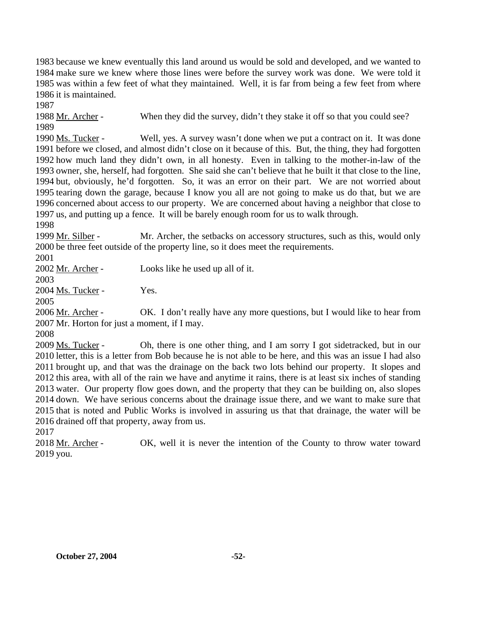because we knew eventually this land around us would be sold and developed, and we wanted to make sure we knew where those lines were before the survey work was done. We were told it was within a few feet of what they maintained. Well, it is far from being a few feet from where it is maintained.

1987

1988 Mr. Archer - When they did the survey, didn't they stake it off so that you could see?

1989

Well, yes. A survey wasn't done when we put a contract on it. It was done 1991 before we closed, and almost didn't close on it because of this. But, the thing, they had forgotten 1992 how much land they didn't own, in all honesty. Even in talking to the mother-in-law of the 1993 owner, she, herself, had forgotten. She said she can't believe that he built it that close to the line, 1994 but, obviously, he'd forgotten. So, it was an error on their part. We are not worried about 1995 tearing down the garage, because I know you all are not going to make us do that, but we are 1996 concerned about access to our property. We are concerned about having a neighbor that close to 1997 us, and putting up a fence. It will be barely enough room for us to walk through. 1990 Ms. Tucker -

1998

Mr. Archer, the setbacks on accessory structures, such as this, would only 2000 be three feet outside of the property line, so it does meet the requirements. 1999 Mr. Silber -

2001

2002 <u>Mr. Archer</u> - Looks like he used up all of it.

2003

2004 Ms. Tucker - Yes.

2005

OK. I don't really have any more questions, but I would like to hear from 2007 Mr. Horton for just a moment, if I may. 2006 Mr. Archer -

2008

Oh, there is one other thing, and I am sorry I got sidetracked, but in our 2010 letter, this is a letter from Bob because he is not able to be here, and this was an issue I had also 2011 brought up, and that was the drainage on the back two lots behind our property. It slopes and 2012 this area, with all of the rain we have and anytime it rains, there is at least six inches of standing 2013 water. Our property flow goes down, and the property that they can be building on, also slopes 2014 down. We have serious concerns about the drainage issue there, and we want to make sure that 2015 that is noted and Public Works is involved in assuring us that that drainage, the water will be 2016 drained off that property, away from us. 2009 Ms. Tucker -

2017

OK, well it is never the intention of the County to throw water toward 2019 you. 2018 Mr. Archer -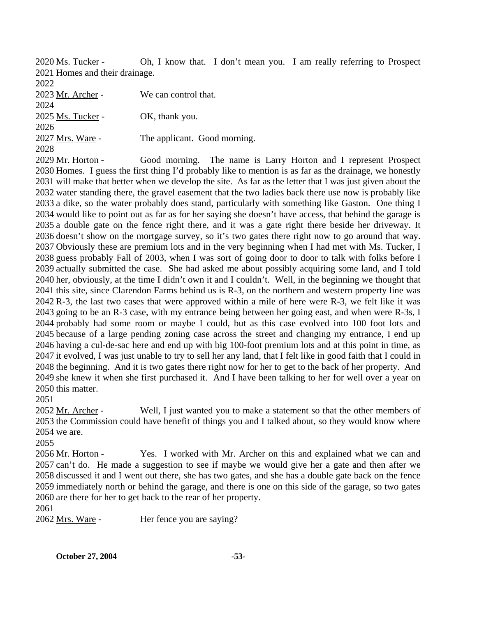Oh, I know that. I don't mean you. I am really referring to Prospect 2021 Homes and their drainage. 2020 Ms. Tucker -

2022

2023 Mr. Archer - We can control that. 2024 2025 Ms. Tucker - OK, thank you. 2026 2027 Mrs. Ware - The applicant. Good morning. 2028

Good morning. The name is Larry Horton and I represent Prospect 2030 Homes. I guess the first thing I'd probably like to mention is as far as the drainage, we honestly 2031 will make that better when we develop the site. As far as the letter that I was just given about the 2032 water standing there, the gravel easement that the two ladies back there use now is probably like 2033 a dike, so the water probably does stand, particularly with something like Gaston. One thing I 2034 would like to point out as far as for her saying she doesn't have access, that behind the garage is 2035 a double gate on the fence right there, and it was a gate right there beside her driveway. It 2036 doesn't show on the mortgage survey, so it's two gates there right now to go around that way. 2037 Obviously these are premium lots and in the very beginning when I had met with Ms. Tucker, I 2038 guess probably Fall of 2003, when I was sort of going door to door to talk with folks before I 2039 actually submitted the case. She had asked me about possibly acquiring some land, and I told 2040 her, obviously, at the time I didn't own it and I couldn't. Well, in the beginning we thought that 2041 this site, since Clarendon Farms behind us is R-3, on the northern and western property line was 2042 R-3, the last two cases that were approved within a mile of here were R-3, we felt like it was 2043 going to be an R-3 case, with my entrance being between her going east, and when were R-3s, I 2044 probably had some room or maybe I could, but as this case evolved into 100 foot lots and 2045 because of a large pending zoning case across the street and changing my entrance, I end up 2046 having a cul-de-sac here and end up with big 100-foot premium lots and at this point in time, as 2047 it evolved, I was just unable to try to sell her any land, that I felt like in good faith that I could in 2048 the beginning. And it is two gates there right now for her to get to the back of her property. And 2049 she knew it when she first purchased it. And I have been talking to her for well over a year on 2050 this matter. 2029 Mr. Horton -

2051

Well, I just wanted you to make a statement so that the other members of 2053 the Commission could have benefit of things you and I talked about, so they would know where 2054 we are. 2052 Mr. Archer -

2055

Yes. I worked with Mr. Archer on this and explained what we can and 2057 can't do. He made a suggestion to see if maybe we would give her a gate and then after we 2058 discussed it and I went out there, she has two gates, and she has a double gate back on the fence 2059 immediately north or behind the garage, and there is one on this side of the garage, so two gates 2060 are there for her to get back to the rear of her property. 2056 Mr. Horton -

2061

2062 Mrs. Ware - Her fence you are saying?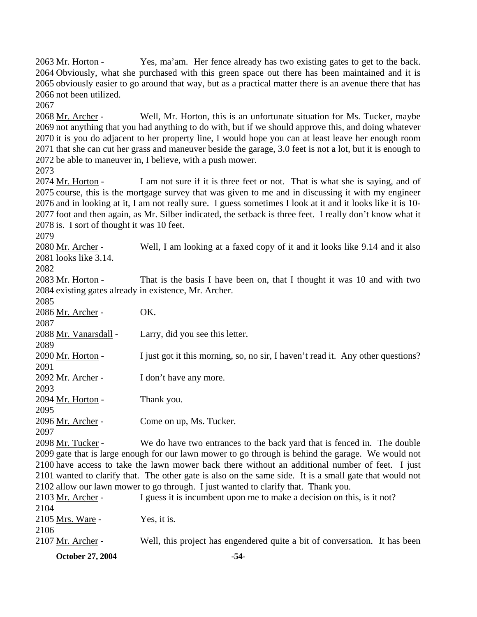Yes, ma'am. Her fence already has two existing gates to get to the back. 2064 Obviously, what she purchased with this green space out there has been maintained and it is 2065 obviously easier to go around that way, but as a practical matter there is an avenue there that has 2066 not been utilized. 2063 Mr. Horton -

2067

Well, Mr. Horton, this is an unfortunate situation for Ms. Tucker, maybe 2069 not anything that you had anything to do with, but if we should approve this, and doing whatever 2070 it is you do adjacent to her property line, I would hope you can at least leave her enough room 2071 that she can cut her grass and maneuver beside the garage, 3.0 feet is not a lot, but it is enough to 2072 be able to maneuver in, I believe, with a push mower. 2068 Mr. Archer -

2073

I am not sure if it is three feet or not. That is what she is saying, and of 2075 course, this is the mortgage survey that was given to me and in discussing it with my engineer 2076 and in looking at it, I am not really sure. I guess sometimes I look at it and it looks like it is 10-2077 foot and then again, as Mr. Silber indicated, the setback is three feet. I really don't know what it  $2078$  is. I sort of thought it was 10 feet. 2074 Mr. Horton -

2079

Well, I am looking at a faxed copy of it and it looks like 9.14 and it also 2081 looks like 3.14. 2080 Mr. Archer -

2082

That is the basis I have been on, that I thought it was 10 and with two 2084 existing gates already in existence, Mr. Archer. 2083 Mr. Horton -

| 2085                                                                                            |                                                                                                         |  |
|-------------------------------------------------------------------------------------------------|---------------------------------------------------------------------------------------------------------|--|
| 2086 Mr. Archer -                                                                               | OK.                                                                                                     |  |
| 2087                                                                                            |                                                                                                         |  |
| 2088 Mr. Vanarsdall -                                                                           | Larry, did you see this letter.                                                                         |  |
| 2089                                                                                            |                                                                                                         |  |
| 2090 Mr. Horton -                                                                               | I just got it this morning, so, no sir, I haven't read it. Any other questions?                         |  |
| 2091                                                                                            |                                                                                                         |  |
| 2092 Mr. Archer -                                                                               | I don't have any more.                                                                                  |  |
| 2093                                                                                            |                                                                                                         |  |
| 2094 Mr. Horton -                                                                               | Thank you.                                                                                              |  |
| 2095                                                                                            |                                                                                                         |  |
| 2096 Mr. Archer -                                                                               | Come on up, Ms. Tucker.                                                                                 |  |
| 2097                                                                                            |                                                                                                         |  |
| 2098 Mr. Tucker -                                                                               | We do have two entrances to the back yard that is fenced in. The double                                 |  |
|                                                                                                 | 2099 gate that is large enough for our lawn mower to go through is behind the garage. We would not      |  |
| 2100 have access to take the lawn mower back there without an additional number of feet. I just |                                                                                                         |  |
|                                                                                                 | 2101 wanted to clarify that. The other gate is also on the same side. It is a small gate that would not |  |
| 2102 allow our lawn mower to go through. I just wanted to clarify that. Thank you.              |                                                                                                         |  |
| 2103 Mr. Archer -                                                                               | I guess it is incumbent upon me to make a decision on this, is it not?                                  |  |
| 2104                                                                                            |                                                                                                         |  |
| 2105 Mrs. Ware -                                                                                | Yes, it is.                                                                                             |  |
| 2106                                                                                            |                                                                                                         |  |
| 2107 Mr. Archer -                                                                               | Well, this project has engendered quite a bit of conversation. It has been                              |  |
|                                                                                                 |                                                                                                         |  |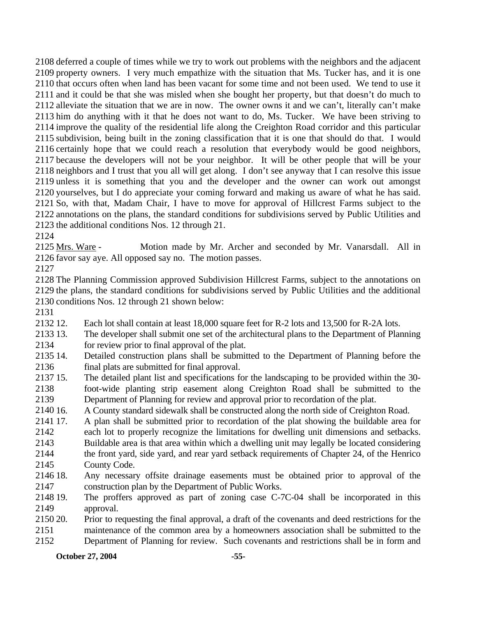deferred a couple of times while we try to work out problems with the neighbors and the adjacent property owners. I very much empathize with the situation that Ms. Tucker has, and it is one that occurs often when land has been vacant for some time and not been used. We tend to use it and it could be that she was misled when she bought her property, but that doesn't do much to alleviate the situation that we are in now. The owner owns it and we can't, literally can't make him do anything with it that he does not want to do, Ms. Tucker. We have been striving to improve the quality of the residential life along the Creighton Road corridor and this particular subdivision, being built in the zoning classification that it is one that should do that. I would certainly hope that we could reach a resolution that everybody would be good neighbors, because the developers will not be your neighbor. It will be other people that will be your neighbors and I trust that you all will get along. I don't see anyway that I can resolve this issue unless it is something that you and the developer and the owner can work out amongst yourselves, but I do appreciate your coming forward and making us aware of what he has said. So, with that, Madam Chair, I have to move for approval of Hillcrest Farms subject to the annotations on the plans, the standard conditions for subdivisions served by Public Utilities and the additional conditions Nos. 12 through 21.

2124

Motion made by Mr. Archer and seconded by Mr. Vanarsdall. All in 2126 favor say aye. All opposed say no. The motion passes. 2125 Mrs. Ware -

2127

2128 The Planning Commission approved Subdivision Hillcrest Farms, subject to the annotations on 2129 the plans, the standard conditions for subdivisions served by Public Utilities and the additional 2130 conditions Nos. 12 through 21 shown below:

2131

2132.12 Each lot shall contain at least 18,000 square feet for R-2 lots and 13,500 for R-2A lots.

2133 13. 2134 The developer shall submit one set of the architectural plans to the Department of Planning for review prior to final approval of the plat.

2135 14. 2136 Detailed construction plans shall be submitted to the Department of Planning before the final plats are submitted for final approval.

2137 15. 2138 2139 15. The detailed plant list and specifications for the landscaping to be provided within the 30 foot-wide planting strip easement along Creighton Road shall be submitted to the Department of Planning for review and approval prior to recordation of the plat.

2140 16. 16. A County standard sidewalk shall be constructed along the north side of Creighton Road.

- 2141 17. 2142 2143 17. A plan shall be submitted prior to recordation of the plat showing the buildable area for each lot to properly recognize the limitations for dwelling unit dimensions and setbacks. Buildable area is that area within which a dwelling unit may legally be located considering
- 2144 2145 the front yard, side yard, and rear yard setback requirements of Chapter 24, of the Henrico County Code.
- 2146 18. 2147 Any necessary offsite drainage easements must be obtained prior to approval of the construction plan by the Department of Public Works.
- 2148 19. 2149 The proffers approved as part of zoning case  $C$ -7 $C$ -04 shall be incorporated in this approval.
- 2150 20. 2151 Prior to requesting the final approval, a draft of the covenants and deed restrictions for the maintenance of the common area by a homeowners association shall be submitted to the
- 2152 Department of Planning for review. Such covenants and restrictions shall be in form and

**October 27, 2004** -55-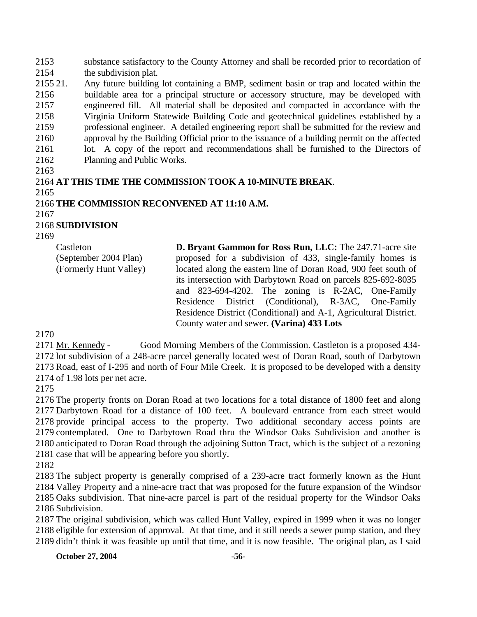2153 2154 substance satisfactory to the County Attorney and shall be recorded prior to recordation of the subdivision plat.

2155 21. 2156 2157 2158 2159 2160 2161 2162 21. Any future building lot containing a BMP, sediment basin or trap and located within the buildable area for a principal structure or accessory structure, may be developed with engineered fill. All material shall be deposited and compacted in accordance with the Virginia Uniform Statewide Building Code and geotechnical guidelines established by a professional engineer. A detailed engineering report shall be submitted for the review and approval by the Building Official prior to the issuance of a building permit on the affected lot. A copy of the report and recommendations shall be furnished to the Directors of Planning and Public Works.

2163

## 2164 **AT THIS TIME THE COMMISSION TOOK A 10-MINUTE BREAK**.

2165

## 2166 **THE COMMISSION RECONVENED AT 11:10 A.M.**

2167

## 2168 **SUBDIVISION**

2169

Castleton (September 2004 Plan) (Formerly Hunt Valley) **D. Bryant Gammon for Ross Run, LLC:** The 247.71-acre site proposed for a subdivision of 433, single-family homes is located along the eastern line of Doran Road, 900 feet south of its intersection with Darbytown Road on parcels 825-692-8035 and 823-694-4202. The zoning is R-2AC, One-Family Residence District (Conditional), R-3AC, One-Family Residence District (Conditional) and A-1, Agricultural District. County water and sewer. **(Varina) 433 Lots** 

2170

Good Morning Members of the Commission. Castleton is a proposed 434-2172 lot subdivision of a 248-acre parcel generally located west of Doran Road, south of Darbytown 2173 Road, east of I-295 and north of Four Mile Creek. It is proposed to be developed with a density  $2174$  of 1.98 lots per net acre. 2171 Mr. Kennedy -

2175

 The property fronts on Doran Road at two locations for a total distance of 1800 feet and along Darbytown Road for a distance of 100 feet. A boulevard entrance from each street would provide principal access to the property. Two additional secondary access points are contemplated. One to Darbytown Road thru the Windsor Oaks Subdivision and another is anticipated to Doran Road through the adjoining Sutton Tract, which is the subject of a rezoning case that will be appearing before you shortly.

2182

 The subject property is generally comprised of a 239-acre tract formerly known as the Hunt Valley Property and a nine-acre tract that was proposed for the future expansion of the Windsor Oaks subdivision. That nine-acre parcel is part of the residual property for the Windsor Oaks Subdivision.

2187 The original subdivision, which was called Hunt Valley, expired in 1999 when it was no longer 2188 eligible for extension of approval. At that time, and it still needs a sewer pump station, and they 2189 didn't think it was feasible up until that time, and it is now feasible. The original plan, as I said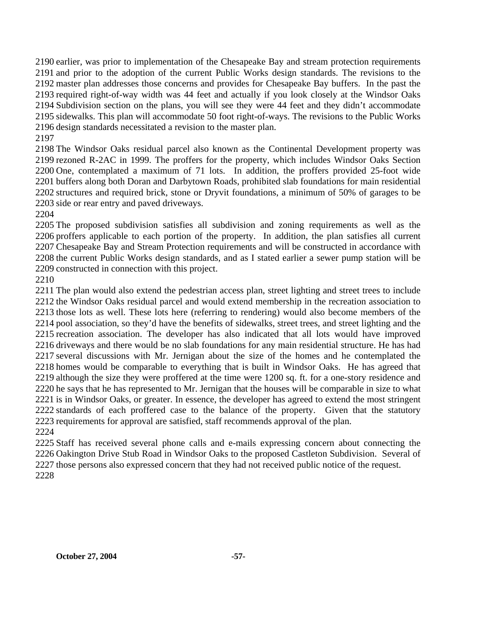earlier, was prior to implementation of the Chesapeake Bay and stream protection requirements and prior to the adoption of the current Public Works design standards. The revisions to the master plan addresses those concerns and provides for Chesapeake Bay buffers. In the past the required right-of-way width was 44 feet and actually if you look closely at the Windsor Oaks Subdivision section on the plans, you will see they were 44 feet and they didn't accommodate sidewalks. This plan will accommodate 50 foot right-of-ways. The revisions to the Public Works design standards necessitated a revision to the master plan.

 The Windsor Oaks residual parcel also known as the Continental Development property was rezoned R-2AC in 1999. The proffers for the property, which includes Windsor Oaks Section One, contemplated a maximum of 71 lots. In addition, the proffers provided 25-foot wide buffers along both Doran and Darbytown Roads, prohibited slab foundations for main residential structures and required brick, stone or Dryvit foundations, a minimum of 50% of garages to be side or rear entry and paved driveways.

 The proposed subdivision satisfies all subdivision and zoning requirements as well as the proffers applicable to each portion of the property. In addition, the plan satisfies all current Chesapeake Bay and Stream Protection requirements and will be constructed in accordance with the current Public Works design standards, and as I stated earlier a sewer pump station will be constructed in connection with this project.

 The plan would also extend the pedestrian access plan, street lighting and street trees to include the Windsor Oaks residual parcel and would extend membership in the recreation association to those lots as well. These lots here (referring to rendering) would also become members of the pool association, so they'd have the benefits of sidewalks, street trees, and street lighting and the recreation association. The developer has also indicated that all lots would have improved driveways and there would be no slab foundations for any main residential structure. He has had several discussions with Mr. Jernigan about the size of the homes and he contemplated the homes would be comparable to everything that is built in Windsor Oaks. He has agreed that although the size they were proffered at the time were 1200 sq. ft. for a one-story residence and he says that he has represented to Mr. Jernigan that the houses will be comparable in size to what is in Windsor Oaks, or greater. In essence, the developer has agreed to extend the most stringent standards of each proffered case to the balance of the property. Given that the statutory requirements for approval are satisfied, staff recommends approval of the plan. 

 Staff has received several phone calls and e-mails expressing concern about connecting the Oakington Drive Stub Road in Windsor Oaks to the proposed Castleton Subdivision. Several of those persons also expressed concern that they had not received public notice of the request.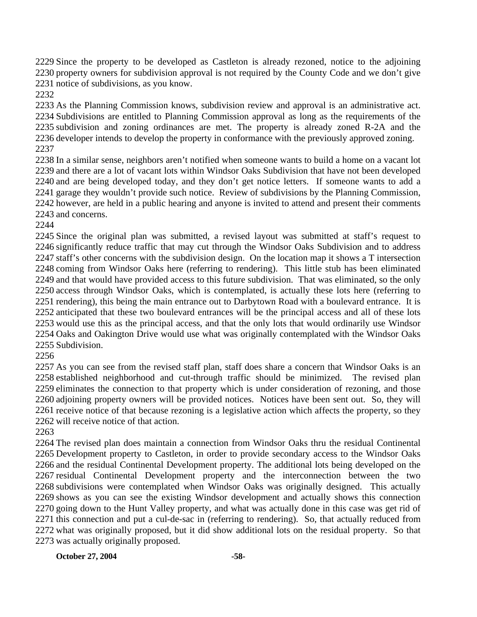Since the property to be developed as Castleton is already rezoned, notice to the adjoining property owners for subdivision approval is not required by the County Code and we don't give notice of subdivisions, as you know.

 As the Planning Commission knows, subdivision review and approval is an administrative act. Subdivisions are entitled to Planning Commission approval as long as the requirements of the subdivision and zoning ordinances are met. The property is already zoned R-2A and the developer intends to develop the property in conformance with the previously approved zoning. 

 In a similar sense, neighbors aren't notified when someone wants to build a home on a vacant lot and there are a lot of vacant lots within Windsor Oaks Subdivision that have not been developed and are being developed today, and they don't get notice letters. If someone wants to add a garage they wouldn't provide such notice. Review of subdivisions by the Planning Commission, however, are held in a public hearing and anyone is invited to attend and present their comments and concerns.

 Since the original plan was submitted, a revised layout was submitted at staff's request to significantly reduce traffic that may cut through the Windsor Oaks Subdivision and to address staff's other concerns with the subdivision design. On the location map it shows a T intersection coming from Windsor Oaks here (referring to rendering). This little stub has been eliminated and that would have provided access to this future subdivision. That was eliminated, so the only access through Windsor Oaks, which is contemplated, is actually these lots here (referring to rendering), this being the main entrance out to Darbytown Road with a boulevard entrance. It is anticipated that these two boulevard entrances will be the principal access and all of these lots would use this as the principal access, and that the only lots that would ordinarily use Windsor Oaks and Oakington Drive would use what was originally contemplated with the Windsor Oaks Subdivision.

 As you can see from the revised staff plan, staff does share a concern that Windsor Oaks is an established neighborhood and cut-through traffic should be minimized. The revised plan eliminates the connection to that property which is under consideration of rezoning, and those adjoining property owners will be provided notices. Notices have been sent out. So, they will receive notice of that because rezoning is a legislative action which affects the property, so they will receive notice of that action.

 The revised plan does maintain a connection from Windsor Oaks thru the residual Continental Development property to Castleton, in order to provide secondary access to the Windsor Oaks and the residual Continental Development property. The additional lots being developed on the residual Continental Development property and the interconnection between the two subdivisions were contemplated when Windsor Oaks was originally designed. This actually shows as you can see the existing Windsor development and actually shows this connection going down to the Hunt Valley property, and what was actually done in this case was get rid of this connection and put a cul-de-sac in (referring to rendering). So, that actually reduced from what was originally proposed, but it did show additional lots on the residual property. So that was actually originally proposed.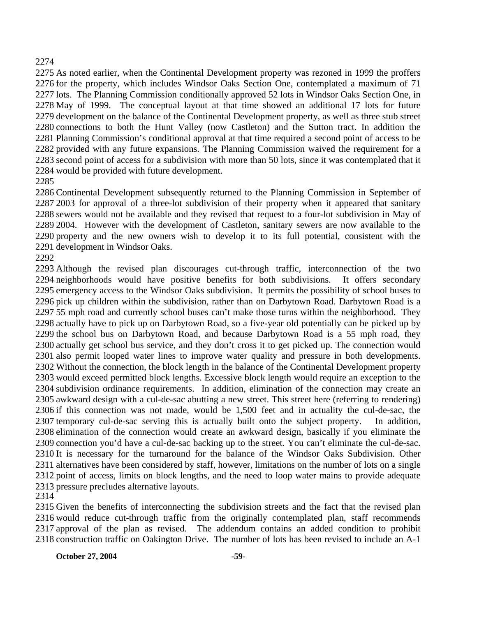#### 

 As noted earlier, when the Continental Development property was rezoned in 1999 the proffers for the property, which includes Windsor Oaks Section One, contemplated a maximum of 71 lots. The Planning Commission conditionally approved 52 lots in Windsor Oaks Section One, in May of 1999. The conceptual layout at that time showed an additional 17 lots for future development on the balance of the Continental Development property, as well as three stub street connections to both the Hunt Valley (now Castleton) and the Sutton tract. In addition the Planning Commission's conditional approval at that time required a second point of access to be provided with any future expansions. The Planning Commission waived the requirement for a second point of access for a subdivision with more than 50 lots, since it was contemplated that it would be provided with future development.

#### 

 Continental Development subsequently returned to the Planning Commission in September of 2003 for approval of a three-lot subdivision of their property when it appeared that sanitary sewers would not be available and they revised that request to a four-lot subdivision in May of 2004. However with the development of Castleton, sanitary sewers are now available to the property and the new owners wish to develop it to its full potential, consistent with the development in Windsor Oaks.

#### 

 Although the revised plan discourages cut-through traffic, interconnection of the two neighborhoods would have positive benefits for both subdivisions. It offers secondary emergency access to the Windsor Oaks subdivision. It permits the possibility of school buses to pick up children within the subdivision, rather than on Darbytown Road. Darbytown Road is a 55 mph road and currently school buses can't make those turns within the neighborhood. They actually have to pick up on Darbytown Road, so a five-year old potentially can be picked up by the school bus on Darbytown Road, and because Darbytown Road is a 55 mph road, they actually get school bus service, and they don't cross it to get picked up. The connection would also permit looped water lines to improve water quality and pressure in both developments. Without the connection, the block length in the balance of the Continental Development property would exceed permitted block lengths. Excessive block length would require an exception to the subdivision ordinance requirements. In addition, elimination of the connection may create an awkward design with a cul-de-sac abutting a new street. This street here (referring to rendering) if this connection was not made, would be 1,500 feet and in actuality the cul-de-sac, the temporary cul-de-sac serving this is actually built onto the subject property. In addition, elimination of the connection would create an awkward design, basically if you eliminate the connection you'd have a cul-de-sac backing up to the street. You can't eliminate the cul-de-sac. It is necessary for the turnaround for the balance of the Windsor Oaks Subdivision. Other alternatives have been considered by staff, however, limitations on the number of lots on a single point of access, limits on block lengths, and the need to loop water mains to provide adequate pressure precludes alternative layouts.

 Given the benefits of interconnecting the subdivision streets and the fact that the revised plan would reduce cut-through traffic from the originally contemplated plan, staff recommends approval of the plan as revised. The addendum contains an added condition to prohibit construction traffic on Oakington Drive. The number of lots has been revised to include an A-1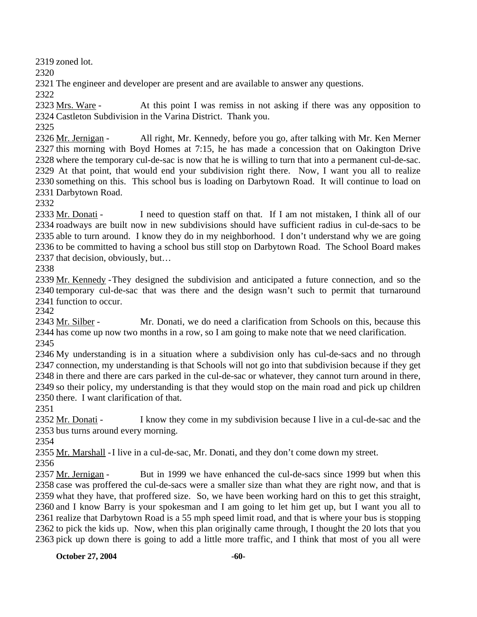2319 zoned lot.

2320

2321 The engineer and developer are present and are available to answer any questions.

2322

At this point I was remiss in not asking if there was any opposition to 2324 Castleton Subdivision in the Varina District. Thank you. 2323 Mrs. Ware -

2325

All right, Mr. Kennedy, before you go, after talking with Mr. Ken Merner 2327 this morning with Boyd Homes at 7:15, he has made a concession that on Oakington Drive 2328 where the temporary cul-de-sac is now that he is willing to turn that into a permanent cul-de-sac. 2329 At that point, that would end your subdivision right there. Now, I want you all to realize 2330 something on this. This school bus is loading on Darbytown Road. It will continue to load on 2331 Darbytown Road. 2326 Mr. Jernigan -

2332

I need to question staff on that. If I am not mistaken, I think all of our 2334 roadways are built now in new subdivisions should have sufficient radius in cul-de-sacs to be 2335 able to turn around. I know they do in my neighborhood. I don't understand why we are going 2336 to be committed to having a school bus still stop on Darbytown Road. The School Board makes 2337 that decision, obviously, but... 2333 Mr. Donati -

2338

2339 Mr. Kennedy - They designed the subdivision and anticipated a future connection, and so the 2340 temporary cul-de-sac that was there and the design wasn't such to permit that turnaround 2341 function to occur.

2342

Mr. Donati, we do need a clarification from Schools on this, because this 2344 has come up now two months in a row, so I am going to make note that we need clarification. 2343 Mr. Silber -2345

 My understanding is in a situation where a subdivision only has cul-de-sacs and no through connection, my understanding is that Schools will not go into that subdivision because if they get in there and there are cars parked in the cul-de-sac or whatever, they cannot turn around in there, so their policy, my understanding is that they would stop on the main road and pick up children there. I want clarification of that.

2351

I know they come in my subdivision because I live in a cul-de-sac and the 2353 bus turns around every morning. 2352 Mr. Donati -

2354

2355 Mr. Marshall - I live in a cul-de-sac, Mr. Donati, and they don't come down my street.

2356

But in 1999 we have enhanced the cul-de-sacs since 1999 but when this 2358 case was proffered the cul-de-sacs were a smaller size than what they are right now, and that is 2359 what they have, that proffered size. So, we have been working hard on this to get this straight, 2360 and I know Barry is your spokesman and I am going to let him get up, but I want you all to 2361 realize that Darbytown Road is a 55 mph speed limit road, and that is where your bus is stopping 2362 to pick the kids up. Now, when this plan originally came through, I thought the 20 lots that you 2363 pick up down there is going to add a little more traffic, and I think that most of you all were 2357 Mr. Jernigan -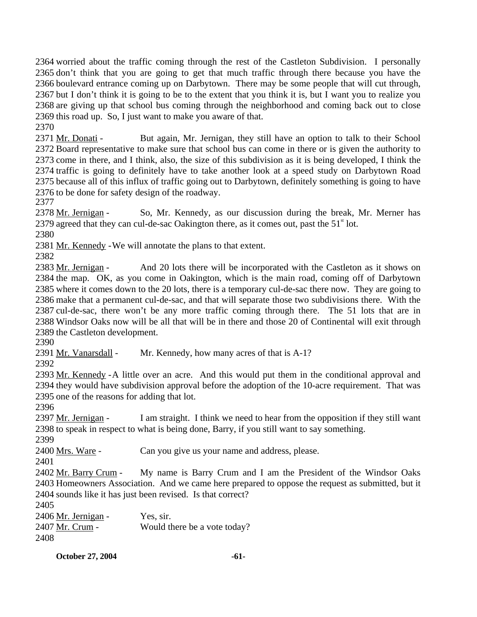worried about the traffic coming through the rest of the Castleton Subdivision. I personally don't think that you are going to get that much traffic through there because you have the boulevard entrance coming up on Darbytown. There may be some people that will cut through, but I don't think it is going to be to the extent that you think it is, but I want you to realize you are giving up that school bus coming through the neighborhood and coming back out to close this road up. So, I just want to make you aware of that.

2370

But again, Mr. Jernigan, they still have an option to talk to their School 2372 Board representative to make sure that school bus can come in there or is given the authority to 2373 come in there, and I think, also, the size of this subdivision as it is being developed, I think the 2374 traffic is going to definitely have to take another look at a speed study on Darbytown Road 2375 because all of this influx of traffic going out to Darbytown, definitely something is going to have 2376 to be done for safety design of the roadway. 2371 Mr. Donati -

2377

So, Mr. Kennedy, as our discussion during the break, Mr. Merner has 2379 agreed that they can cul-de-sac Oakington there, as it comes out, past the  $51<sup>st</sup>$  lot. 2378 Mr. Jernigan -

2380

2381 Mr. Kennedy - We will annotate the plans to that extent.

2382

And 20 lots there will be incorporated with the Castleton as it shows on 2384 the map. OK, as you come in Oakington, which is the main road, coming off of Darbytown 2385 where it comes down to the 20 lots, there is a temporary cul-de-sac there now. They are going to 2386 make that a permanent cul-de-sac, and that will separate those two subdivisions there. With the 2387 cul-de-sac, there won't be any more traffic coming through there. The 51 lots that are in 2388 Windsor Oaks now will be all that will be in there and those 20 of Continental will exit through 2389 the Castleton development. 2383 Mr. Jernigan -

2390

2391 Mr. Vanarsdall - Mr. Kennedy, how many acres of that is A-1?

2392

2393 Mr. Kennedy - A little over an acre. And this would put them in the conditional approval and 2394 they would have subdivision approval before the adoption of the 10-acre requirement. That was 2395 one of the reasons for adding that lot.

2396

I am straight. I think we need to hear from the opposition if they still want 2398 to speak in respect to what is being done, Barry, if you still want to say something. 2397 Mr. Jernigan -

2399

2400 Mrs. Ware - Can you give us your name and address, please.

2401

My name is Barry Crum and I am the President of the Windsor Oaks 2403 Homeowners Association. And we came here prepared to oppose the request as submitted, but it 2404 sounds like it has just been revised. Is that correct? 2402 Mr. Barry Crum -

2405

2406 Mr. Jernigan - Yes, sir. 2407 Mr. Crum - Would there be a vote today? 2408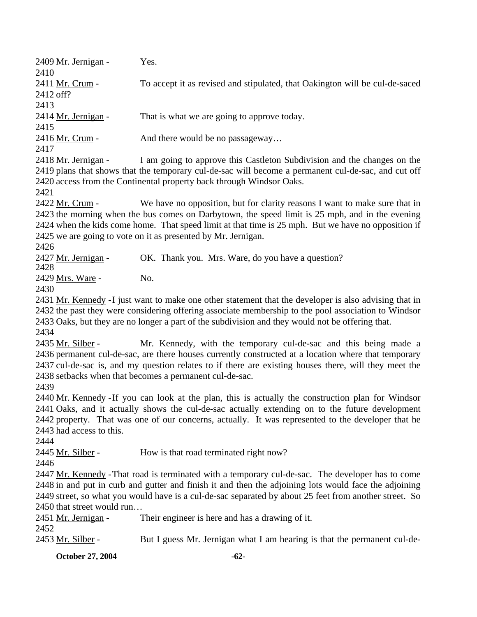2409 Mr. Jernigan - Yes. 2410 To accept it as revised and stipulated, that Oakington will be cul-de-saced 2412 off? 2411 Mr. Crum -2413 2414 Mr. Jernigan - That is what we are going to approve today. 2415 2416 Mr. Crum - And there would be no passageway... 2417 I am going to approve this Castleton Subdivision and the changes on the 2419 plans that shows that the temporary cul-de-sac will become a permanent cul-de-sac, and cut off 2420 access from the Continental property back through Windsor Oaks. 2418 Mr. Jernigan -2421 We have no opposition, but for clarity reasons I want to make sure that in 2423 the morning when the bus comes on Darbytown, the speed limit is 25 mph, and in the evening 2424 when the kids come home. That speed limit at that time is 25 mph. But we have no opposition if 2425 we are going to vote on it as presented by Mr. Jernigan. 2422 Mr. Crum -2426 2427 Mr. Jernigan - OK. Thank you. Mrs. Ware, do you have a question? 2428 2429 Mrs. Ware - No. 2430 2431 Mr. Kennedy - I just want to make one other statement that the developer is also advising that in 2432 the past they were considering offering associate membership to the pool association to Windsor 2433 Oaks, but they are no longer a part of the subdivision and they would not be offering that. 2434 Mr. Kennedy, with the temporary cul-de-sac and this being made a 2436 permanent cul-de-sac, are there houses currently constructed at a location where that temporary 2437 cul-de-sac is, and my question relates to if there are existing houses there, will they meet the 2438 setbacks when that becomes a permanent cul-de-sac. 2435 Mr. Silber -2439 2440 Mr. Kennedy - If you can look at the plan, this is actually the construction plan for Windsor 2441 Oaks, and it actually shows the cul-de-sac actually extending on to the future development 2442 property. That was one of our concerns, actually. It was represented to the developer that he 2443 had access to this. 2444 2445 Mr. Silber - How is that road terminated right now? 2446

2447 Mr. Kennedy - That road is terminated with a temporary cul-de-sac. The developer has to come 2448 in and put in curb and gutter and finish it and then the adjoining lots would face the adjoining 2449 street, so what you would have is a cul-de-sac separated by about 25 feet from another street. So 2450 that street would run...

| 2451 Mr. Jernigan - | Their engineer is here and has a drawing of it.                          |
|---------------------|--------------------------------------------------------------------------|
| 2452                |                                                                          |
| 2453 Mr. Silber -   | But I guess Mr. Jernigan what I am hearing is that the permanent cul-de- |
|                     |                                                                          |

**October 27, 2004** -62-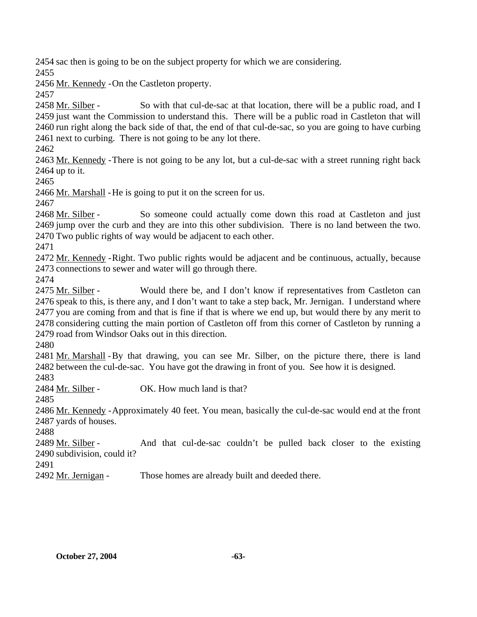2454 sac then is going to be on the subject property for which we are considering.

2455

2456 Mr. Kennedy - On the Castleton property.

2457

So with that cul-de-sac at that location, there will be a public road, and I 2459 just want the Commission to understand this. There will be a public road in Castleton that will 2460 run right along the back side of that, the end of that cul-de-sac, so you are going to have curbing 2461 next to curbing. There is not going to be any lot there. 2458 Mr. Silber -

2462

2463 Mr. Kennedy - There is not going to be any lot, but a cul-de-sac with a street running right back  $2464$  up to it.

2465

2466 Mr. Marshall - He is going to put it on the screen for us.

2467

So someone could actually come down this road at Castleton and just 2469 jump over the curb and they are into this other subdivision. There is no land between the two. 2470 Two public rights of way would be adjacent to each other. 2468 Mr. Silber -

2471

2472 Mr. Kennedy - Right. Two public rights would be adjacent and be continuous, actually, because 2473 connections to sewer and water will go through there.

2474

Would there be, and I don't know if representatives from Castleton can 2476 speak to this, is there any, and I don't want to take a step back, Mr. Jernigan. I understand where 2477 you are coming from and that is fine if that is where we end up, but would there by any merit to 2478 considering cutting the main portion of Castleton off from this corner of Castleton by running a 2479 road from Windsor Oaks out in this direction. 2475 Mr. Silber -

2480

2481 Mr. Marshall - By that drawing, you can see Mr. Silber, on the picture there, there is land 2482 between the cul-de-sac. You have got the drawing in front of you. See how it is designed.

2483

2484 Mr. Silber - OK. How much land is that?

2485

2486 Mr. Kennedy - Approximately 40 feet. You mean, basically the cul-de-sac would end at the front 2487 yards of houses.

2488

And that cul-de-sac couldn't be pulled back closer to the existing 2490 subdivision, could it? 2489 Mr. Silber -

2491

2492 Mr. Jernigan - Those homes are already built and deeded there.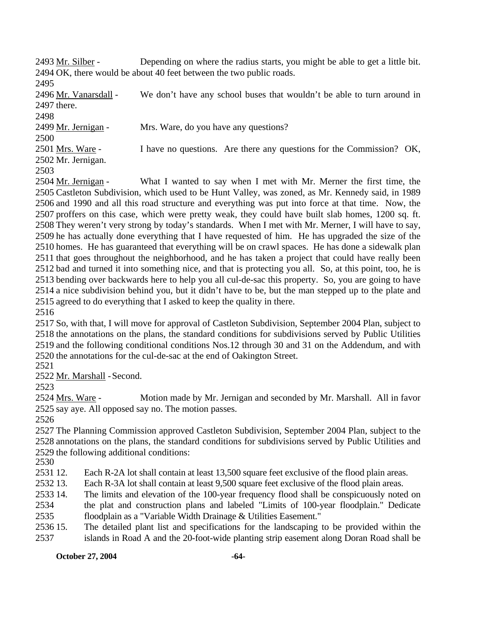Depending on where the radius starts, you might be able to get a little bit. 2494 OK, there would be about 40 feet between the two public roads. 2493 Mr. Silber -

2495

We don't have any school buses that wouldn't be able to turn around in 2497 there. 2496 Mr. Vanarsdall -

2498

2499 Mr. Jernigan - Mrs. Ware, do you have any questions?

2500

I have no questions. Are there any questions for the Commission? OK, 2502 Mr. Jernigan. 2501 Mrs. Ware -

2503

What I wanted to say when I met with Mr. Merner the first time, the 2505 Castleton Subdivision, which used to be Hunt Valley, was zoned, as Mr. Kennedy said, in 1989 2506 and 1990 and all this road structure and everything was put into force at that time. Now, the 2507 proffers on this case, which were pretty weak, they could have built slab homes, 1200 sq. ft. 2508 They weren't very strong by today's standards. When I met with Mr. Merner, I will have to say, 2509 he has actually done everything that I have requested of him. He has upgraded the size of the 2510 homes. He has guaranteed that everything will be on crawl spaces. He has done a sidewalk plan 2511 that goes throughout the neighborhood, and he has taken a project that could have really been 2512 bad and turned it into something nice, and that is protecting you all. So, at this point, too, he is 2513 bending over backwards here to help you all cul-de-sac this property. So, you are going to have 2514 a nice subdivision behind you, but it didn't have to be, but the man stepped up to the plate and 2515 agreed to do everything that I asked to keep the quality in there. 2504 Mr. Jernigan -

2516

 So, with that, I will move for approval of Castleton Subdivision, September 2004 Plan, subject to the annotations on the plans, the standard conditions for subdivisions served by Public Utilities and the following conditional conditions Nos.12 through 30 and 31 on the Addendum, and with the annotations for the cul-de-sac at the end of Oakington Street.

2521

2522 Mr. Marshall - Second.

2523

Motion made by Mr. Jernigan and seconded by Mr. Marshall. All in favor 2525 say aye. All opposed say no. The motion passes. 2524 Mrs. Ware -

2526

2527 The Planning Commission approved Castleton Subdivision, September 2004 Plan, subject to the 2528 annotations on the plans, the standard conditions for subdivisions served by Public Utilities and 2529 the following additional conditions:

2530

2531 12. Each R-2A lot shall contain at least 13,500 square feet exclusive of the flood plain areas.

2532 13. Each R-3A lot shall contain at least 9,500 square feet exclusive of the flood plain areas.

2533 14. 2534 The limits and elevation of the 100-year frequency flood shall be conspicuously noted on the plat and construction plans and labeled "Limits of 100-year floodplain." Dedicate

2535 floodplain as a "Variable Width Drainage & Utilities Easement."

2536 15. 2537 15. The detailed plant list and specifications for the landscaping to be provided within the islands in Road A and the 20-foot-wide planting strip easement along Doran Road shall be

#### **October 27, 2004** -64-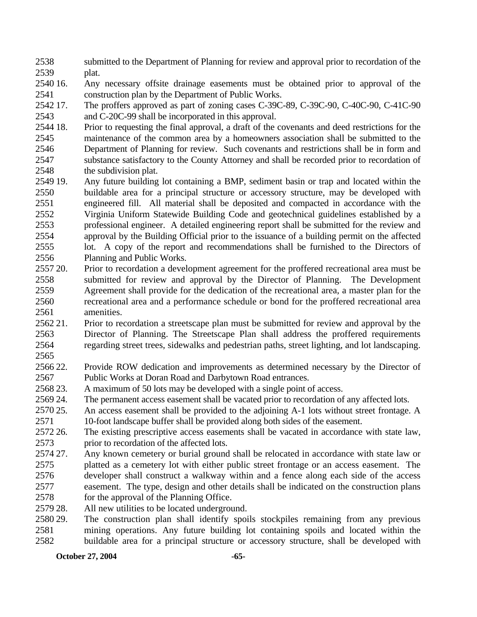- 2538 2539 submitted to the Department of Planning for review and approval prior to recordation of the plat.
- 2540 16. 2541 Any necessary offsite drainage easements must be obtained prior to approval of the construction plan by the Department of Public Works.
- 2542 17. 2543 The proffers approved as part of zoning cases C-39C-89, C-39C-90, C-40C-90, C-41C-90 and C-20C-99 shall be incorporated in this approval.
- 2544 18. 2545 2546 2547 2548 18. Prior to requesting the final approval, a draft of the covenants and deed restrictions for the maintenance of the common area by a homeowners association shall be submitted to the Department of Planning for review. Such covenants and restrictions shall be in form and substance satisfactory to the County Attorney and shall be recorded prior to recordation of the subdivision plat.
- 2549 19. 2550 2551 2552 2553 2554 2555 2556 Any future building lot containing a BMP, sediment basin or trap and located within the buildable area for a principal structure or accessory structure, may be developed with engineered fill. All material shall be deposited and compacted in accordance with the Virginia Uniform Statewide Building Code and geotechnical guidelines established by a professional engineer. A detailed engineering report shall be submitted for the review and approval by the Building Official prior to the issuance of a building permit on the affected lot. A copy of the report and recommendations shall be furnished to the Directors of Planning and Public Works.
- 2557 20. 2558 2559 2560 2561 Prior to recordation a development agreement for the proffered recreational area must be submitted for review and approval by the Director of Planning. The Development Agreement shall provide for the dedication of the recreational area, a master plan for the recreational area and a performance schedule or bond for the proffered recreational area amenities.
- 2562.21 2563 2564 21. Prior to recordation a streetscape plan must be submitted for review and approval by the Director of Planning. The Streetscape Plan shall address the proffered requirements regarding street trees, sidewalks and pedestrian paths, street lighting, and lot landscaping.
- 2565 2566 22. 2567 Provide ROW dedication and improvements as determined necessary by the Director of Public Works at Doran Road and Darbytown Road entrances.
- 2568 23. A maximum of 50 lots may be developed with a single point of access.
- 2569 24. The permanent access easement shall be vacated prior to recordation of any affected lots.
- 2570 25. 2571 An access easement shall be provided to the adjoining A-1 lots without street frontage. A 10-foot landscape buffer shall be provided along both sides of the easement.
- 2572 26. 2573 The existing prescriptive access easements shall be vacated in accordance with state law, prior to recordation of the affected lots.
- 2574 27. 2575 2576 2577 2578 Any known cemetery or burial ground shall be relocated in accordance with state law or platted as a cemetery lot with either public street frontage or an access easement. The developer shall construct a walkway within and a fence along each side of the access easement. The type, design and other details shall be indicated on the construction plans for the approval of the Planning Office.
- 2579 28. All new utilities to be located underground.
- 2580 29. 2581 2582 The construction plan shall identify spoils stockpiles remaining from any previous mining operations. Any future building lot containing spoils and located within the buildable area for a principal structure or accessory structure, shall be developed with

**October 27, 2004** -65-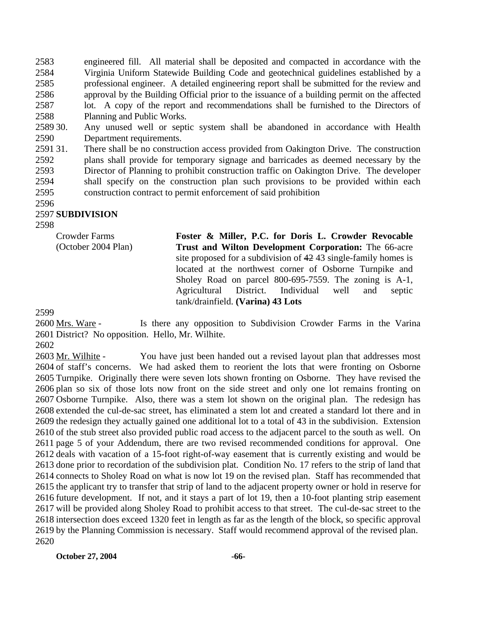2583 2584 2585 2586 2587 2588 engineered fill. All material shall be deposited and compacted in accordance with the Virginia Uniform Statewide Building Code and geotechnical guidelines established by a professional engineer. A detailed engineering report shall be submitted for the review and approval by the Building Official prior to the issuance of a building permit on the affected lot. A copy of the report and recommendations shall be furnished to the Directors of Planning and Public Works.

2589 30. 2590 Any unused well or septic system shall be abandoned in accordance with Health Department requirements.

259131. 2592 2593 2594 2595 There shall be no construction access provided from Oakington Drive. The construction plans shall provide for temporary signage and barricades as deemed necessary by the Director of Planning to prohibit construction traffic on Oakington Drive. The developer shall specify on the construction plan such provisions to be provided within each construction contract to permit enforcement of said prohibition

2596

#### 2597 **SUBDIVISION**

2598

Crowder Farms (October 2004 Plan) **Foster & Miller, P.C. for Doris L. Crowder Revocable Trust and Wilton Development Corporation:** The 66-acre site proposed for a subdivision of 42 43 single-family homes is located at the northwest corner of Osborne Turnpike and Sholey Road on parcel 800-695-7559. The zoning is A-1, Agricultural District. Individual well and septic tank/drainfield. **(Varina) 43 Lots** 

2599

Is there any opposition to Subdivision Crowder Farms in the Varina 2601 District? No opposition. Hello, Mr. Wilhite. 2600 Mrs. Ware -

2602

You have just been handed out a revised layout plan that addresses most 2604 of staff's concerns. We had asked them to reorient the lots that were fronting on Osborne 2605 Turnpike. Originally there were seven lots shown fronting on Osborne. They have revised the 2606 plan so six of those lots now front on the side street and only one lot remains fronting on 2607 Osborne Turnpike. Also, there was a stem lot shown on the original plan. The redesign has 2608 extended the cul-de-sac street, has eliminated a stem lot and created a standard lot there and in 2609 the redesign they actually gained one additional lot to a total of 43 in the subdivision. Extension 2610 of the stub street also provided public road access to the adjacent parcel to the south as well. On 2611 page 5 of your Addendum, there are two revised recommended conditions for approval. One 2612 deals with vacation of a 15-foot right-of-way easement that is currently existing and would be 2613 done prior to recordation of the subdivision plat. Condition No. 17 refers to the strip of land that 2614 connects to Sholey Road on what is now lot 19 on the revised plan. Staff has recommended that 2615 the applicant try to transfer that strip of land to the adjacent property owner or hold in reserve for 2616 future development. If not, and it stays a part of lot 19, then a 10-foot planting strip easement 2617 will be provided along Sholey Road to prohibit access to that street. The cul-de-sac street to the 2618 intersection does exceed 1320 feet in length as far as the length of the block, so specific approval 2619 by the Planning Commission is necessary. Staff would recommend approval of the revised plan. 2603 Mr. Wilhite -2620

**October 27, 2004** -66-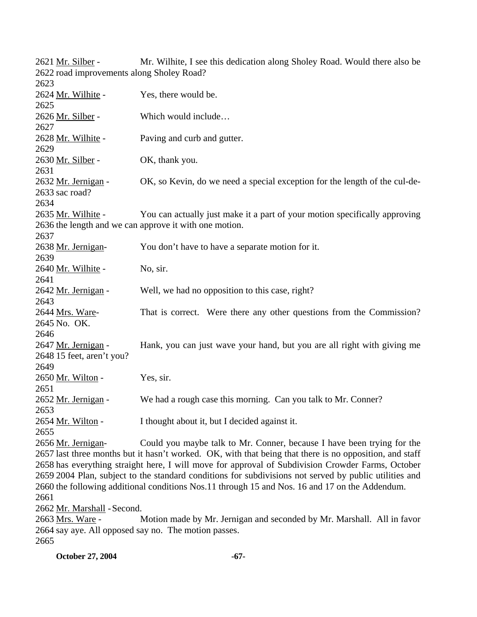| 2621 Mr. Silber -                         | Mr. Wilhite, I see this dedication along Sholey Road. Would there also be                               |
|-------------------------------------------|---------------------------------------------------------------------------------------------------------|
| 2622 road improvements along Sholey Road? |                                                                                                         |
| 2623                                      |                                                                                                         |
| 2624 Mr. Wilhite -                        | Yes, there would be.                                                                                    |
| 2625                                      |                                                                                                         |
| 2626 Mr. Silber -                         | Which would include                                                                                     |
| 2627                                      |                                                                                                         |
| 2628 Mr. Wilhite -                        | Paving and curb and gutter.                                                                             |
| 2629                                      |                                                                                                         |
| 2630 Mr. Silber -                         | OK, thank you.                                                                                          |
| 2631                                      |                                                                                                         |
| 2632 Mr. Jernigan -                       | OK, so Kevin, do we need a special exception for the length of the cul-de-                              |
| 2633 sac road?                            |                                                                                                         |
| 2634                                      |                                                                                                         |
| 2635 Mr. Wilhite -                        | You can actually just make it a part of your motion specifically approving                              |
|                                           | 2636 the length and we can approve it with one motion.                                                  |
| 2637                                      |                                                                                                         |
| 2638 Mr. Jernigan-                        | You don't have to have a separate motion for it.                                                        |
| 2639                                      |                                                                                                         |
| 2640 Mr. Wilhite -                        | No, sir.                                                                                                |
| 2641                                      |                                                                                                         |
| 2642 Mr. Jernigan -                       | Well, we had no opposition to this case, right?                                                         |
| 2643                                      |                                                                                                         |
| 2644 Mrs. Ware-                           | That is correct. Were there any other questions from the Commission?                                    |
| 2645 No. OK.                              |                                                                                                         |
| 2646                                      |                                                                                                         |
| 2647 Mr. Jernigan -                       | Hank, you can just wave your hand, but you are all right with giving me                                 |
| 2648 15 feet, aren't you?                 |                                                                                                         |
| 2649                                      |                                                                                                         |
| 2650 Mr. Wilton -                         | Yes, sir.                                                                                               |
| 2651                                      |                                                                                                         |
| 2652 Mr. Jernigan -                       | We had a rough case this morning. Can you talk to Mr. Conner?                                           |
| 2653                                      |                                                                                                         |
| 2654 Mr. Wilton -                         | I thought about it, but I decided against it.                                                           |
| 2655                                      |                                                                                                         |
| 2656 Mr. Jernigan-                        | Could you maybe talk to Mr. Conner, because I have been trying for the                                  |
|                                           | 2657 last three months but it hasn't worked. OK, with that being that there is no opposition, and staff |
|                                           | 2658 has everything straight here, I will move for approval of Subdivision Crowder Farms, October       |
|                                           | 2659 2004 Plan, subject to the standard conditions for subdivisions not served by public utilities and  |
|                                           | 2660 the following additional conditions Nos.11 through 15 and Nos. 16 and 17 on the Addendum.          |
| 2661                                      |                                                                                                         |
| 2662 Mr. Marshall - Second.               |                                                                                                         |
| 2663 Mrs. Ware -                          | Motion made by Mr. Jernigan and seconded by Mr. Marshall. All in favor                                  |

2664 say aye. All opposed say no. The motion passes. 2665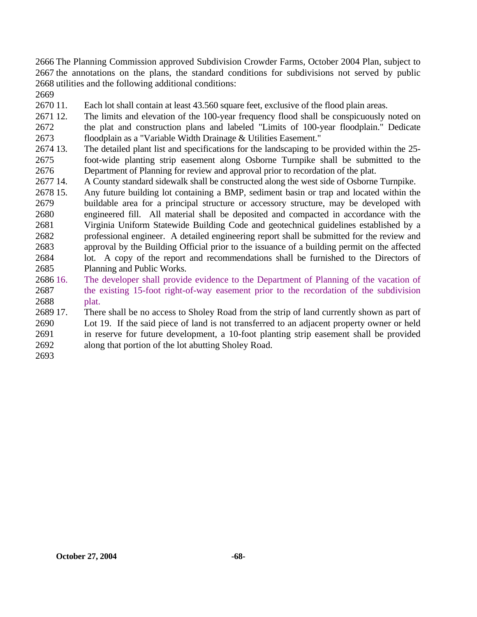2666 The Planning Commission approved Subdivision Crowder Farms, October 2004 Plan, subject to 2667 the annotations on the plans, the standard conditions for subdivisions not served by public 2668 utilities and the following additional conditions:

2669

2670 11. Each lot shall contain at least 43.560 square feet, exclusive of the flood plain areas.

2671 12. 2672 2673 The limits and elevation of the 100-year frequency flood shall be conspicuously noted on the plat and construction plans and labeled "Limits of 100-year floodplain." Dedicate floodplain as a "Variable Width Drainage & Utilities Easement."

2674 13. 2675 2676 The detailed plant list and specifications for the landscaping to be provided within the 25foot-wide planting strip easement along Osborne Turnpike shall be submitted to the Department of Planning for review and approval prior to recordation of the plat.

2677 14. 14. A County standard sidewalk shall be constructed along the west side of Osborne Turnpike.

2678 15. 2679 2680 2681 2682 2683 2684 2685 Any future building lot containing a BMP, sediment basin or trap and located within the buildable area for a principal structure or accessory structure, may be developed with engineered fill. All material shall be deposited and compacted in accordance with the Virginia Uniform Statewide Building Code and geotechnical guidelines established by a professional engineer. A detailed engineering report shall be submitted for the review and approval by the Building Official prior to the issuance of a building permit on the affected lot. A copy of the report and recommendations shall be furnished to the Directors of Planning and Public Works.

- 2686 16. 2687 2688 The developer shall provide evidence to the Department of Planning of the vacation of the existing 15-foot right-of-way easement prior to the recordation of the subdivision plat.
- 2689 17. 2690 2691 2692 There shall be no access to Sholey Road from the strip of land currently shown as part of Lot 19. If the said piece of land is not transferred to an adjacent property owner or held in reserve for future development, a 10-foot planting strip easement shall be provided along that portion of the lot abutting Sholey Road.
- 2693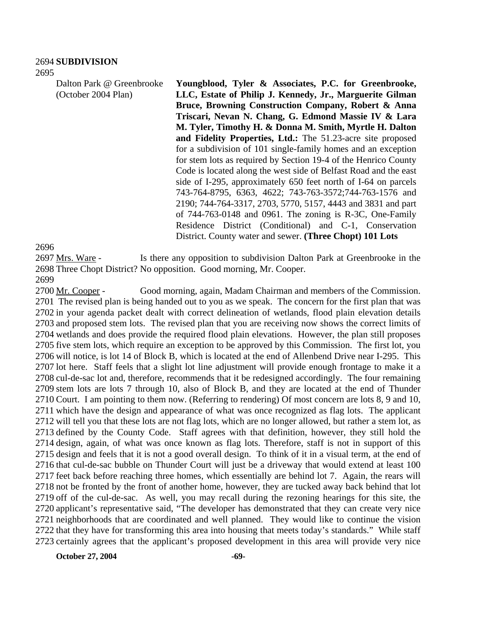Dalton Park @ Greenbrooke (October 2004 Plan)

**Youngblood, Tyler & Associates, P.C. for Greenbrooke, LLC, Estate of Philip J. Kennedy, Jr., Marguerite Gilman Bruce, Browning Construction Company, Robert & Anna Triscari, Nevan N. Chang, G. Edmond Massie IV & Lara M. Tyler, Timothy H. & Donna M. Smith, Myrtle H. Dalton and Fidelity Properties, Ltd.:** The 51.23-acre site proposed for a subdivision of 101 single-family homes and an exception for stem lots as required by Section 19-4 of the Henrico County Code is located along the west side of Belfast Road and the east side of I-295, approximately 650 feet north of I-64 on parcels 743-764-8795, 6363, 4622; 743-763-3572;744-763-1576 and 2190; 744-764-3317, 2703, 5770, 5157, 4443 and 3831 and part of 744-763-0148 and 0961. The zoning is R-3C, One-Family Residence District (Conditional) and C-1, Conservation District. County water and sewer. **(Three Chopt) 101 Lots** 

#### 2696

Is there any opposition to subdivision Dalton Park at Greenbrooke in the 2698 Three Chopt District? No opposition. Good morning, Mr. Cooper. 2697 Mrs. Ware -

2699

Good morning, again, Madam Chairman and members of the Commission. 2701 The revised plan is being handed out to you as we speak. The concern for the first plan that was 2702 in your agenda packet dealt with correct delineation of wetlands, flood plain elevation details 2703 and proposed stem lots. The revised plan that you are receiving now shows the correct limits of 2704 wetlands and does provide the required flood plain elevations. However, the plan still proposes 2705 five stem lots, which require an exception to be approved by this Commission. The first lot, you 2706 will notice, is lot 14 of Block B, which is located at the end of Allenbend Drive near I-295. This 2707 lot here. Staff feels that a slight lot line adjustment will provide enough frontage to make it a 2708 cul-de-sac lot and, therefore, recommends that it be redesigned accordingly. The four remaining 2709 stem lots are lots 7 through 10, also of Block B, and they are located at the end of Thunder 2710 Court. I am pointing to them now. (Referring to rendering) Of most concern are lots 8, 9 and 10, 2711 which have the design and appearance of what was once recognized as flag lots. The applicant 2712 will tell you that these lots are not flag lots, which are no longer allowed, but rather a stem lot, as 2713 defined by the County Code. Staff agrees with that definition, however, they still hold the 2714 design, again, of what was once known as flag lots. Therefore, staff is not in support of this 2715 design and feels that it is not a good overall design. To think of it in a visual term, at the end of 2716 that cul-de-sac bubble on Thunder Court will just be a driveway that would extend at least 100 2717 feet back before reaching three homes, which essentially are behind lot 7. Again, the rears will 2718 not be fronted by the front of another home, however, they are tucked away back behind that lot 2719 off of the cul-de-sac. As well, you may recall during the rezoning hearings for this site, the 2720 applicant's representative said, "The developer has demonstrated that they can create very nice 2721 neighborhoods that are coordinated and well planned. They would like to continue the vision 2722 that they have for transforming this area into housing that meets today's standards." While staff 2723 certainly agrees that the applicant's proposed development in this area will provide very nice 2700 Mr. Cooper -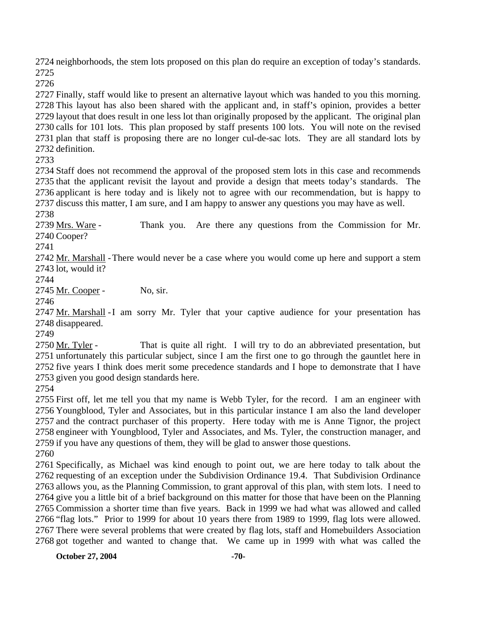neighborhoods, the stem lots proposed on this plan do require an exception of today's standards. 

 Finally, staff would like to present an alternative layout which was handed to you this morning. This layout has also been shared with the applicant and, in staff's opinion, provides a better layout that does result in one less lot than originally proposed by the applicant. The original plan calls for 101 lots. This plan proposed by staff presents 100 lots. You will note on the revised plan that staff is proposing there are no longer cul-de-sac lots. They are all standard lots by definition.

 Staff does not recommend the approval of the proposed stem lots in this case and recommends that the applicant revisit the layout and provide a design that meets today's standards. The applicant is here today and is likely not to agree with our recommendation, but is happy to discuss this matter, I am sure, and I am happy to answer any questions you may have as well.

Thank you. Are there any questions from the Commission for Mr. 2740 Cooper? 2739 Mrs. Ware -

2742 Mr. Marshall - There would never be a case where you would come up here and support a stem lot, would it?

2745 Mr. Cooper - No, sir.

2747 Mr. Marshall - I am sorry Mr. Tyler that your captive audience for your presentation has 2748 disappeared.

That is quite all right. I will try to do an abbreviated presentation, but 2751 unfortunately this particular subject, since I am the first one to go through the gauntlet here in 2752 five years I think does merit some precedence standards and I hope to demonstrate that I have 2753 given you good design standards here. 2750 Mr. Tyler -

 First off, let me tell you that my name is Webb Tyler, for the record. I am an engineer with Youngblood, Tyler and Associates, but in this particular instance I am also the land developer and the contract purchaser of this property. Here today with me is Anne Tignor, the project engineer with Youngblood, Tyler and Associates, and Ms. Tyler, the construction manager, and if you have any questions of them, they will be glad to answer those questions.

 Specifically, as Michael was kind enough to point out, we are here today to talk about the requesting of an exception under the Subdivision Ordinance 19.4. That Subdivision Ordinance allows you, as the Planning Commission, to grant approval of this plan, with stem lots. I need to give you a little bit of a brief background on this matter for those that have been on the Planning Commission a shorter time than five years. Back in 1999 we had what was allowed and called "flag lots." Prior to 1999 for about 10 years there from 1989 to 1999, flag lots were allowed. There were several problems that were created by flag lots, staff and Homebuilders Association got together and wanted to change that. We came up in 1999 with what was called the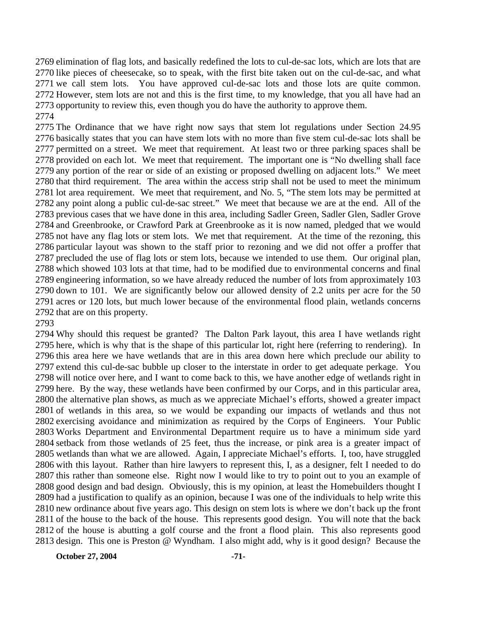elimination of flag lots, and basically redefined the lots to cul-de-sac lots, which are lots that are like pieces of cheesecake, so to speak, with the first bite taken out on the cul-de-sac, and what we call stem lots. You have approved cul-de-sac lots and those lots are quite common. However, stem lots are not and this is the first time, to my knowledge, that you all have had an opportunity to review this, even though you do have the authority to approve them. 

 The Ordinance that we have right now says that stem lot regulations under Section 24.95 basically states that you can have stem lots with no more than five stem cul-de-sac lots shall be permitted on a street. We meet that requirement. At least two or three parking spaces shall be provided on each lot. We meet that requirement. The important one is "No dwelling shall face any portion of the rear or side of an existing or proposed dwelling on adjacent lots." We meet that third requirement. The area within the access strip shall not be used to meet the minimum lot area requirement. We meet that requirement, and No. 5, "The stem lots may be permitted at any point along a public cul-de-sac street." We meet that because we are at the end. All of the previous cases that we have done in this area, including Sadler Green, Sadler Glen, Sadler Grove and Greenbrooke, or Crawford Park at Greenbrooke as it is now named, pledged that we would not have any flag lots or stem lots. We met that requirement. At the time of the rezoning, this particular layout was shown to the staff prior to rezoning and we did not offer a proffer that precluded the use of flag lots or stem lots, because we intended to use them. Our original plan, which showed 103 lots at that time, had to be modified due to environmental concerns and final engineering information, so we have already reduced the number of lots from approximately 103 down to 101. We are significantly below our allowed density of 2.2 units per acre for the 50 acres or 120 lots, but much lower because of the environmental flood plain, wetlands concerns that are on this property.

 Why should this request be granted? The Dalton Park layout, this area I have wetlands right here, which is why that is the shape of this particular lot, right here (referring to rendering). In this area here we have wetlands that are in this area down here which preclude our ability to extend this cul-de-sac bubble up closer to the interstate in order to get adequate perkage. You will notice over here, and I want to come back to this, we have another edge of wetlands right in here. By the way, these wetlands have been confirmed by our Corps, and in this particular area, the alternative plan shows, as much as we appreciate Michael's efforts, showed a greater impact of wetlands in this area, so we would be expanding our impacts of wetlands and thus not exercising avoidance and minimization as required by the Corps of Engineers. Your Public Works Department and Environmental Department require us to have a minimum side yard setback from those wetlands of 25 feet, thus the increase, or pink area is a greater impact of wetlands than what we are allowed. Again, I appreciate Michael's efforts. I, too, have struggled with this layout. Rather than hire lawyers to represent this, I, as a designer, felt I needed to do this rather than someone else. Right now I would like to try to point out to you an example of good design and bad design. Obviously, this is my opinion, at least the Homebuilders thought I had a justification to qualify as an opinion, because I was one of the individuals to help write this new ordinance about five years ago. This design on stem lots is where we don't back up the front of the house to the back of the house. This represents good design. You will note that the back of the house is abutting a golf course and the front a flood plain. This also represents good design. This one is Preston @ Wyndham. I also might add, why is it good design? Because the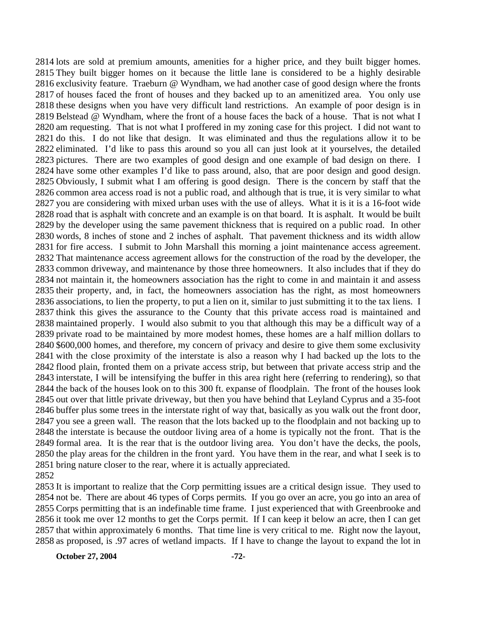lots are sold at premium amounts, amenities for a higher price, and they built bigger homes. They built bigger homes on it because the little lane is considered to be a highly desirable 2816 exclusivity feature. Traeburn @ Wyndham, we had another case of good design where the fronts of houses faced the front of houses and they backed up to an amenitized area. You only use these designs when you have very difficult land restrictions. An example of poor design is in Belstead @ Wyndham, where the front of a house faces the back of a house. That is not what I am requesting. That is not what I proffered in my zoning case for this project. I did not want to do this. I do not like that design. It was eliminated and thus the regulations allow it to be eliminated. I'd like to pass this around so you all can just look at it yourselves, the detailed pictures. There are two examples of good design and one example of bad design on there. I have some other examples I'd like to pass around, also, that are poor design and good design. Obviously, I submit what I am offering is good design. There is the concern by staff that the common area access road is not a public road, and although that is true, it is very similar to what you are considering with mixed urban uses with the use of alleys. What it is it is a 16-foot wide road that is asphalt with concrete and an example is on that board. It is asphalt. It would be built by the developer using the same pavement thickness that is required on a public road. In other words, 8 inches of stone and 2 inches of asphalt. That pavement thickness and its width allow for fire access. I submit to John Marshall this morning a joint maintenance access agreement. That maintenance access agreement allows for the construction of the road by the developer, the common driveway, and maintenance by those three homeowners. It also includes that if they do not maintain it, the homeowners association has the right to come in and maintain it and assess their property, and, in fact, the homeowners association has the right, as most homeowners associations, to lien the property, to put a lien on it, similar to just submitting it to the tax liens. I think this gives the assurance to the County that this private access road is maintained and maintained properly. I would also submit to you that although this may be a difficult way of a private road to be maintained by more modest homes, these homes are a half million dollars to \$600,000 homes, and therefore, my concern of privacy and desire to give them some exclusivity with the close proximity of the interstate is also a reason why I had backed up the lots to the flood plain, fronted them on a private access strip, but between that private access strip and the interstate, I will be intensifying the buffer in this area right here (referring to rendering), so that the back of the houses look on to this 300 ft. expanse of floodplain. The front of the houses look out over that little private driveway, but then you have behind that Leyland Cyprus and a 35-foot buffer plus some trees in the interstate right of way that, basically as you walk out the front door, you see a green wall. The reason that the lots backed up to the floodplain and not backing up to the interstate is because the outdoor living area of a home is typically not the front. That is the formal area. It is the rear that is the outdoor living area. You don't have the decks, the pools, the play areas for the children in the front yard. You have them in the rear, and what I seek is to bring nature closer to the rear, where it is actually appreciated. 

 It is important to realize that the Corp permitting issues are a critical design issue. They used to not be. There are about 46 types of Corps permits. If you go over an acre, you go into an area of Corps permitting that is an indefinable time frame. I just experienced that with Greenbrooke and it took me over 12 months to get the Corps permit. If I can keep it below an acre, then I can get that within approximately 6 months. That time line is very critical to me. Right now the layout, as proposed, is .97 acres of wetland impacts. If I have to change the layout to expand the lot in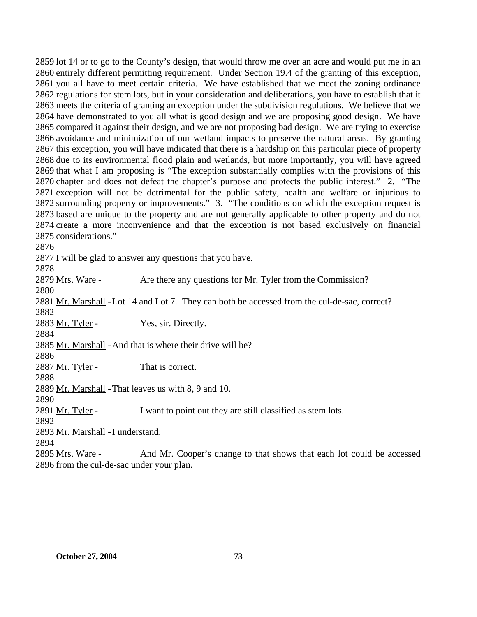lot 14 or to go to the County's design, that would throw me over an acre and would put me in an entirely different permitting requirement. Under Section 19.4 of the granting of this exception, you all have to meet certain criteria. We have established that we meet the zoning ordinance regulations for stem lots, but in your consideration and deliberations, you have to establish that it meets the criteria of granting an exception under the subdivision regulations. We believe that we have demonstrated to you all what is good design and we are proposing good design. We have compared it against their design, and we are not proposing bad design. We are trying to exercise avoidance and minimization of our wetland impacts to preserve the natural areas. By granting this exception, you will have indicated that there is a hardship on this particular piece of property due to its environmental flood plain and wetlands, but more importantly, you will have agreed that what I am proposing is "The exception substantially complies with the provisions of this chapter and does not defeat the chapter's purpose and protects the public interest." 2. "The exception will not be detrimental for the public safety, health and welfare or injurious to surrounding property or improvements." 3. "The conditions on which the exception request is based are unique to the property and are not generally applicable to other property and do not create a more inconvenience and that the exception is not based exclusively on financial considerations."

I will be glad to answer any questions that you have.

2879 Mrs. Ware - Are there any questions for Mr. Tyler from the Commission? 2881 Mr. Marshall - Lot 14 and Lot 7. They can both be accessed from the cul-de-sac, correct? 2883 Mr. Tyler - Yes, sir. Directly. 

2885 Mr. Marshall - And that is where their drive will be?

2887 Mr. Tyler - That is correct.

2889 Mr. Marshall - That leaves us with 8, 9 and 10.

2891 Mr. Tyler - I want to point out they are still classified as stem lots.

2893 Mr. Marshall - I understand.

And Mr. Cooper's change to that shows that each lot could be accessed 2896 from the cul-de-sac under your plan. 2895 Mrs. Ware -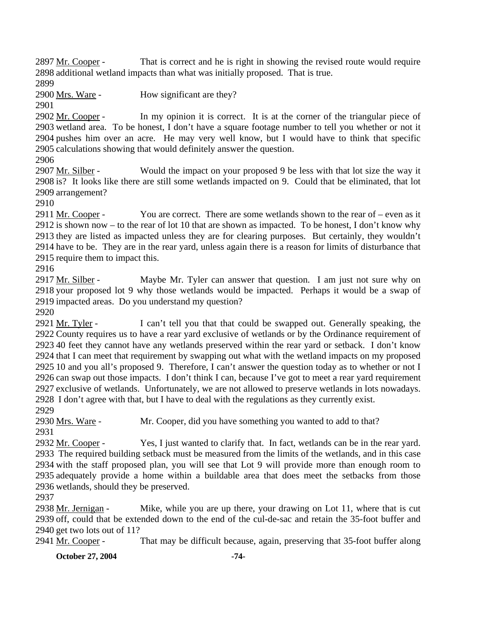That is correct and he is right in showing the revised route would require 2898 additional wetland impacts than what was initially proposed. That is true. 2897 Mr. Cooper -

2899

2900 Mrs. Ware - How significant are they?

2901

In my opinion it is correct. It is at the corner of the triangular piece of 2903 wetland area. To be honest, I don't have a square footage number to tell you whether or not it 2904 pushes him over an acre. He may very well know, but I would have to think that specific 2905 calculations showing that would definitely answer the question. 2902 Mr. Cooper -

2906

Would the impact on your proposed 9 be less with that lot size the way it 2908 is? It looks like there are still some wetlands impacted on 9. Could that be eliminated, that lot 2909 arrangement? 2907 Mr. Silber -

2910

You are correct. There are some wetlands shown to the rear of – even as it 2912 is shown now – to the rear of lot 10 that are shown as impacted. To be honest, I don't know why 2913 they are listed as impacted unless they are for clearing purposes. But certainly, they wouldn't 2914 have to be. They are in the rear yard, unless again there is a reason for limits of disturbance that 2915 require them to impact this. 2911 Mr. Cooper -

2916

Maybe Mr. Tyler can answer that question. I am just not sure why on 2918 your proposed lot 9 why those wetlands would be impacted. Perhaps it would be a swap of 2919 impacted areas. Do you understand my question? 2917 Mr. Silber -

2920

I can't tell you that that could be swapped out. Generally speaking, the 2922 County requires us to have a rear yard exclusive of wetlands or by the Ordinance requirement of 2923 40 feet they cannot have any wetlands preserved within the rear yard or setback. I don't know 2924 that I can meet that requirement by swapping out what with the wetland impacts on my proposed 2925 10 and you all's proposed 9. Therefore, I can't answer the question today as to whether or not I 2926 can swap out those impacts. I don't think I can, because I've got to meet a rear yard requirement 2927 exclusive of wetlands. Unfortunately, we are not allowed to preserve wetlands in lots nowadays. 2928 I don't agree with that, but I have to deal with the regulations as they currently exist. 2921 Mr. Tyler -

2929

2930 Mrs. Ware - Mr. Cooper, did you have something you wanted to add to that? 2931

Yes, I just wanted to clarify that. In fact, wetlands can be in the rear yard. 2933 The required building setback must be measured from the limits of the wetlands, and in this case 2934 with the staff proposed plan, you will see that Lot 9 will provide more than enough room to 2935 adequately provide a home within a buildable area that does meet the setbacks from those 2936 wetlands, should they be preserved. 2932 Mr. Cooper -

2937

Mike, while you are up there, your drawing on Lot 11, where that is cut 2939 off, could that be extended down to the end of the cul-de-sac and retain the 35-foot buffer and 2940 get two lots out of 11? 2938 Mr. Jernigan -

2941 Mr. Cooper - That may be difficult because, again, preserving that 35-foot buffer along

**October 27, 2004** -74-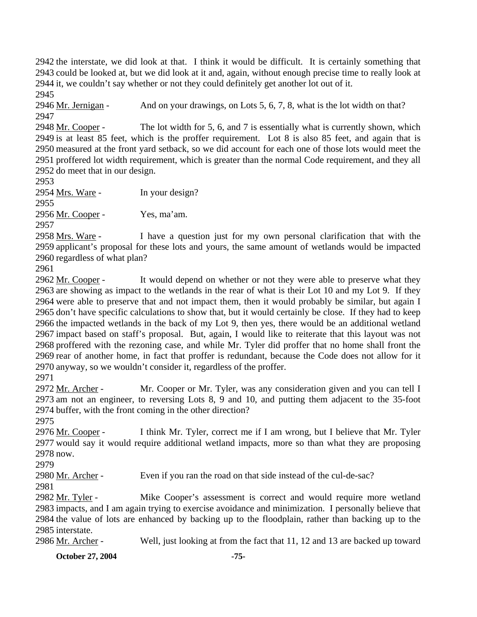the interstate, we did look at that. I think it would be difficult. It is certainly something that could be looked at, but we did look at it and, again, without enough precise time to really look at it, we couldn't say whether or not they could definitely get another lot out of it. 2945

2946 Mr. Jernigan - And on your drawings, on Lots 5, 6, 7, 8, what is the lot width on that? 2947

The lot width for 5, 6, and 7 is essentially what is currently shown, which 2949 is at least 85 feet, which is the proffer requirement. Lot 8 is also 85 feet, and again that is 2950 measured at the front yard setback, so we did account for each one of those lots would meet the 2951 proffered lot width requirement, which is greater than the normal Code requirement, and they all 2952 do meet that in our design. 2948 Mr. Cooper -

2953

2954 Mrs. Ware - In your design?

2955 2956 Mr. Cooper - Yes, ma'am.

2957

I have a question just for my own personal clarification that with the 2959 applicant's proposal for these lots and yours, the same amount of wetlands would be impacted 2960 regardless of what plan? 2958 Mrs. Ware -

2961

It would depend on whether or not they were able to preserve what they 2963 are showing as impact to the wetlands in the rear of what is their Lot 10 and my Lot 9. If they 2964 were able to preserve that and not impact them, then it would probably be similar, but again I 2965 don't have specific calculations to show that, but it would certainly be close. If they had to keep 2966 the impacted wetlands in the back of my Lot 9, then yes, there would be an additional wetland 2967 impact based on staff's proposal. But, again, I would like to reiterate that this layout was not 2968 proffered with the rezoning case, and while Mr. Tyler did proffer that no home shall front the 2969 rear of another home, in fact that proffer is redundant, because the Code does not allow for it 2970 anyway, so we wouldn't consider it, regardless of the proffer. 2962 Mr. Cooper -

2971

Mr. Cooper or Mr. Tyler, was any consideration given and you can tell I 2973 am not an engineer, to reversing Lots 8, 9 and 10, and putting them adjacent to the 35-foot 2974 buffer, with the front coming in the other direction? 2972 Mr. Archer -

2975

I think Mr. Tyler, correct me if I am wrong, but I believe that Mr. Tyler 2977 would say it would require additional wetland impacts, more so than what they are proposing 2978 now. 2976 Mr. Cooper -

2979

2980 Mr. Archer - Even if you ran the road on that side instead of the cul-de-sac?

2981

Mike Cooper's assessment is correct and would require more wetland 2983 impacts, and I am again trying to exercise avoidance and minimization. I personally believe that 2984 the value of lots are enhanced by backing up to the floodplain, rather than backing up to the 2985 interstate. 2982 Mr. Tyler -

2986 Mr. Archer - Well, just looking at from the fact that 11, 12 and 13 are backed up toward

**October 27, 2004** -75-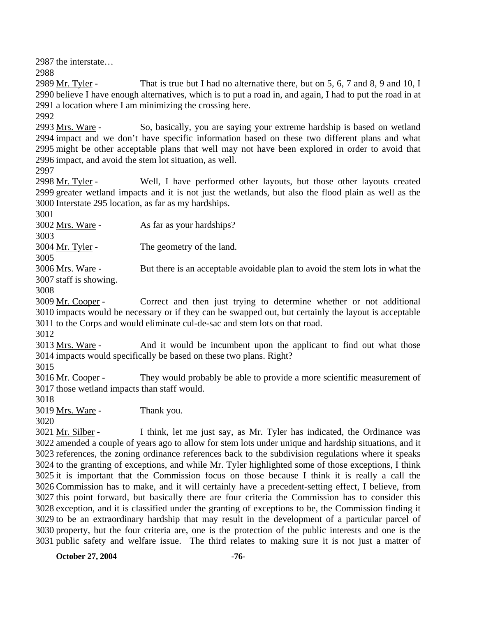2987 the interstate…

2988

That is true but I had no alternative there, but on  $5, 6, 7$  and  $8, 9$  and  $10, I$ 2990 believe I have enough alternatives, which is to put a road in, and again, I had to put the road in at 2991 a location where I am minimizing the crossing here. 2989 Mr. Tyler -

2992

So, basically, you are saying your extreme hardship is based on wetland 2994 impact and we don't have specific information based on these two different plans and what 2995 might be other acceptable plans that well may not have been explored in order to avoid that 2996 impact, and avoid the stem lot situation, as well. 2993 Mrs. Ware -

2997

Well, I have performed other layouts, but those other layouts created 2999 greater wetland impacts and it is not just the wetlands, but also the flood plain as well as the 3000 Interstate 295 location, as far as my hardships. 2998 Mr. Tyler -

3001

3002 <u>Mrs. Ware</u> - As far as your hardships?

3003

3004 Mr. Tyler - The geometry of the land.

3005

But there is an acceptable avoidable plan to avoid the stem lots in what the 3007 staff is showing. 3006 Mrs. Ware -

3008

Correct and then just trying to determine whether or not additional 3010 impacts would be necessary or if they can be swapped out, but certainly the layout is acceptable 3011 to the Corps and would eliminate cul-de-sac and stem lots on that road. 3009 Mr. Cooper -

3012

And it would be incumbent upon the applicant to find out what those 3014 impacts would specifically be based on these two plans. Right? 3013 Mrs. Ware -

3015

They would probably be able to provide a more scientific measurement of 3017 those wetland impacts than staff would. 3016 Mr. Cooper -

3018

3019 Mrs. Ware - Thank you.

3020

I think, let me just say, as Mr. Tyler has indicated, the Ordinance was 3022 amended a couple of years ago to allow for stem lots under unique and hardship situations, and it 3023 references, the zoning ordinance references back to the subdivision regulations where it speaks 3024 to the granting of exceptions, and while Mr. Tyler highlighted some of those exceptions, I think 3025 it is important that the Commission focus on those because I think it is really a call the 3026 Commission has to make, and it will certainly have a precedent-setting effect, I believe, from 3027 this point forward, but basically there are four criteria the Commission has to consider this 3028 exception, and it is classified under the granting of exceptions to be, the Commission finding it 3029 to be an extraordinary hardship that may result in the development of a particular parcel of 3030 property, but the four criteria are, one is the protection of the public interests and one is the 3031 public safety and welfare issue. The third relates to making sure it is not just a matter of 3021 Mr. Silber -

**October 27, 2004** -76-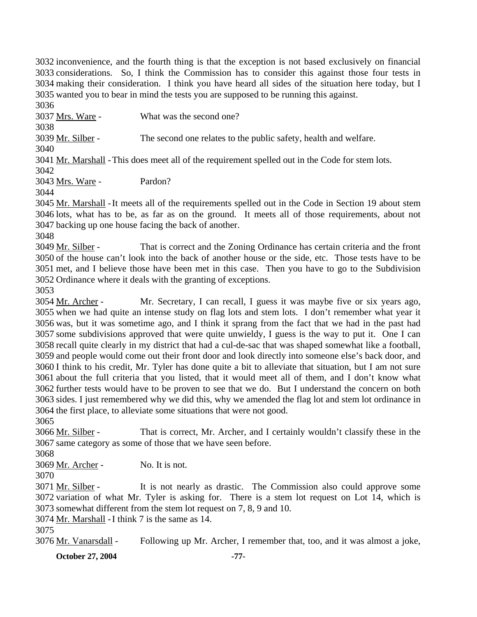inconvenience, and the fourth thing is that the exception is not based exclusively on financial considerations. So, I think the Commission has to consider this against those four tests in making their consideration. I think you have heard all sides of the situation here today, but I wanted you to bear in mind the tests you are supposed to be running this against.

3036

3037 Mrs. Ware - What was the second one?

3038

3039 Mr. Silber - The second one relates to the public safety, health and welfare.

3040

3041 Mr. Marshall - This does meet all of the requirement spelled out in the Code for stem lots.

3042

3043 Mrs. Ware - Pardon?

3044

3045 Mr. Marshall - It meets all of the requirements spelled out in the Code in Section 19 about stem 3046 lots, what has to be, as far as on the ground. It meets all of those requirements, about not 3047 backing up one house facing the back of another.

3048

That is correct and the Zoning Ordinance has certain criteria and the front 3050 of the house can't look into the back of another house or the side, etc. Those tests have to be 3051 met, and I believe those have been met in this case. Then you have to go to the Subdivision 3052 Ordinance where it deals with the granting of exceptions. 3049 Mr. Silber -

3053

Mr. Secretary, I can recall, I guess it was maybe five or six years ago, 3055 when we had quite an intense study on flag lots and stem lots. I don't remember what year it 3056 was, but it was sometime ago, and I think it sprang from the fact that we had in the past had 3057 some subdivisions approved that were quite unwieldy, I guess is the way to put it. One I can 3058 recall quite clearly in my district that had a cul-de-sac that was shaped somewhat like a football, 3059 and people would come out their front door and look directly into someone else's back door, and 3060 I think to his credit, Mr. Tyler has done quite a bit to alleviate that situation, but I am not sure 3061 about the full criteria that you listed, that it would meet all of them, and I don't know what 3062 further tests would have to be proven to see that we do. But I understand the concern on both sides. I just remembered why we did this, why we amended the flag lot and stem lot ordinance in 3063 3064 the first place, to alleviate some situations that were not good. 3054 Mr. Archer -

3065

That is correct, Mr. Archer, and I certainly wouldn't classify these in the 3067 same category as some of those that we have seen before. 3066 Mr. Silber -

3068

3069 Mr. Archer - No. It is not.

3070

It is not nearly as drastic. The Commission also could approve some 3072 variation of what Mr. Tyler is asking for. There is a stem lot request on Lot 14, which is somewhat different from the stem lot request on 7, 8, 9 and 10. 3073 3071 Mr. Silber -

3074 Mr. Marshall - I think 7 is the same as 14.

3075

3076 Mr. Vanarsdall - Following up Mr. Archer, I remember that, too, and it was almost a joke,

**October 27, 2004** -77-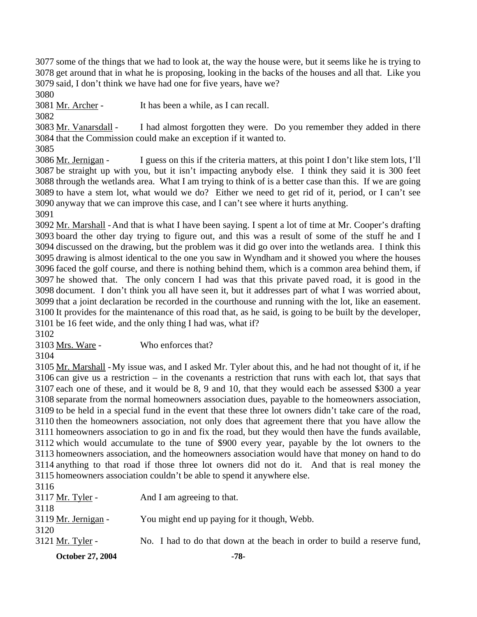3077 some of the things that we had to look at, the way the house were, but it seems like he is trying to 3078 get around that in what he is proposing, looking in the backs of the houses and all that. Like you 3079 said, I don't think we have had one for five years, have we?

3080

3081 Mr. Archer - It has been a while, as I can recall.

3082

I had almost forgotten they were. Do you remember they added in there 3084 that the Commission could make an exception if it wanted to. 3083 Mr. Vanarsdall -

3085

I guess on this if the criteria matters, at this point I don't like stem lots, I'll 3087 be straight up with you, but it isn't impacting anybody else. I think they said it is 300 feet 3088 through the wetlands area. What I am trying to think of is a better case than this. If we are going 3089 to have a stem lot, what would we do? Either we need to get rid of it, period, or I can't see 3090 anyway that we can improve this case, and I can't see where it hurts anything. 3086 Mr. Jernigan -

3091

3092 Mr. Marshall - And that is what I have been saying. I spent a lot of time at Mr. Cooper's drafting 3093 board the other day trying to figure out, and this was a result of some of the stuff he and I 3094 discussed on the drawing, but the problem was it did go over into the wetlands area. I think this 3095 drawing is almost identical to the one you saw in Wyndham and it showed you where the houses 3096 faced the golf course, and there is nothing behind them, which is a common area behind them, if 3097 he showed that. The only concern I had was that this private paved road, it is good in the 3098 document. I don't think you all have seen it, but it addresses part of what I was worried about, 3099 that a joint declaration be recorded in the courthouse and running with the lot, like an easement. 3100 It provides for the maintenance of this road that, as he said, is going to be built by the developer, 3101 be 16 feet wide, and the only thing I had was, what if?

3102

3103 Mrs. Ware - Who enforces that?

3104

3105 Mr. Marshall - My issue was, and I asked Mr. Tyler about this, and he had not thought of it, if he  $3106$  can give us a restriction – in the covenants a restriction that runs with each lot, that says that 3107 each one of these, and it would be 8, 9 and 10, that they would each be assessed \$300 a year 3108 separate from the normal homeowners association dues, payable to the homeowners association, 3109 to be held in a special fund in the event that these three lot owners didn't take care of the road, 3110 then the homeowners association, not only does that agreement there that you have allow the 3111 homeowners association to go in and fix the road, but they would then have the funds available, 3112 which would accumulate to the tune of \$900 every year, payable by the lot owners to the 3113 homeowners association, and the homeowners association would have that money on hand to do 3114 anything to that road if those three lot owners did not do it. And that is real money the 3115 homeowners association couldn't be able to spend it anywhere else.

|                     | <u>U I IU IIOIIITUU HITTI UUDUUTINNIUII TUMITUI TUT NUIT TU DPTIIM IT NII HITTIT TIDTI</u> |
|---------------------|--------------------------------------------------------------------------------------------|
| 3116                |                                                                                            |
| 3117 Mr. Tyler -    | And I am agreeing to that.                                                                 |
| 3118                |                                                                                            |
| 3119 Mr. Jernigan - | You might end up paying for it though, Webb.                                               |
| 3120                |                                                                                            |
| 3121 Mr. Tyler -    | No. I had to do that down at the beach in order to build a reserve fund,                   |
|                     |                                                                                            |

**October 27, 2004** -78-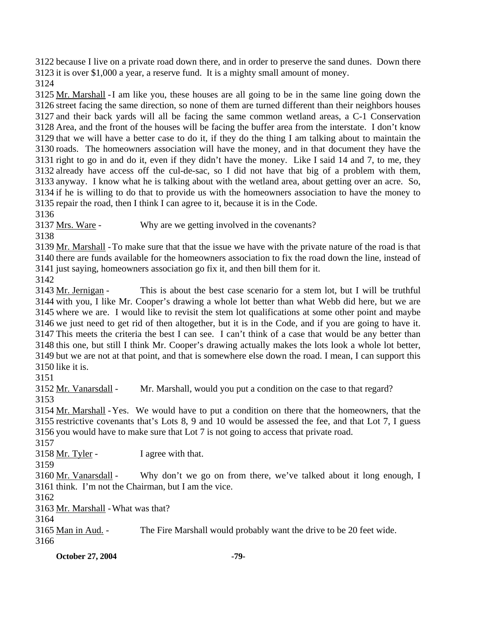3122 because I live on a private road down there, and in order to preserve the sand dunes. Down there 3123 it is over \$1,000 a year, a reserve fund. It is a mighty small amount of money.

3124

3125 Mr. Marshall - I am like you, these houses are all going to be in the same line going down the 3126 street facing the same direction, so none of them are turned different than their neighbors houses 3127 and their back yards will all be facing the same common wetland areas, a C-1 Conservation 3128 Area, and the front of the houses will be facing the buffer area from the interstate. I don't know  $3129$  that we will have a better case to do it, if they do the thing I am talking about to maintain the 3130 roads. The homeowners association will have the money, and in that document they have the 3131 right to go in and do it, even if they didn't have the money. Like I said 14 and 7, to me, they 3132 already have access off the cul-de-sac, so I did not have that big of a problem with them, 3133 anyway. I know what he is talking about with the wetland area, about getting over an acre. So, 3134 if he is willing to do that to provide us with the homeowners association to have the money to 3135 repair the road, then I think I can agree to it, because it is in the Code.

3136

3137 Mrs. Ware - Why are we getting involved in the covenants?

3138

3139 Mr. Marshall - To make sure that that the issue we have with the private nature of the road is that 3140 there are funds available for the homeowners association to fix the road down the line, instead of 3141 just saying, homeowners association go fix it, and then bill them for it.

3142

This is about the best case scenario for a stem lot, but I will be truthful 3144 with you, I like Mr. Cooper's drawing a whole lot better than what Webb did here, but we are 3145 where we are. I would like to revisit the stem lot qualifications at some other point and maybe 3146 we just need to get rid of then altogether, but it is in the Code, and if you are going to have it. 3147 This meets the criteria the best I can see. I can't think of a case that would be any better than 3148 this one, but still I think Mr. Cooper's drawing actually makes the lots look a whole lot better, 3149 but we are not at that point, and that is somewhere else down the road. I mean, I can support this  $3150$  like it is. 3143 Mr. Jernigan -

3151

3152 Mr. Vanarsdall - Mr. Marshall, would you put a condition on the case to that regard? 3153

3154 Mr. Marshall - Yes. We would have to put a condition on there that the homeowners, that the 3155 restrictive covenants that's Lots 8, 9 and 10 would be assessed the fee, and that Lot 7, I guess 3156 you would have to make sure that Lot  $7$  is not going to access that private road.

3157

3158 Mr. Tyler - I agree with that.

3159

Why don't we go on from there, we've talked about it long enough, I 3161 think. I'm not the Chairman, but I am the vice. 3160 Mr. Vanarsdall -

3162

3163 Mr. Marshall - What was that?

3164

3165 Man in Aud. - The Fire Marshall would probably want the drive to be 20 feet wide. 3166

**October 27, 2004** -79-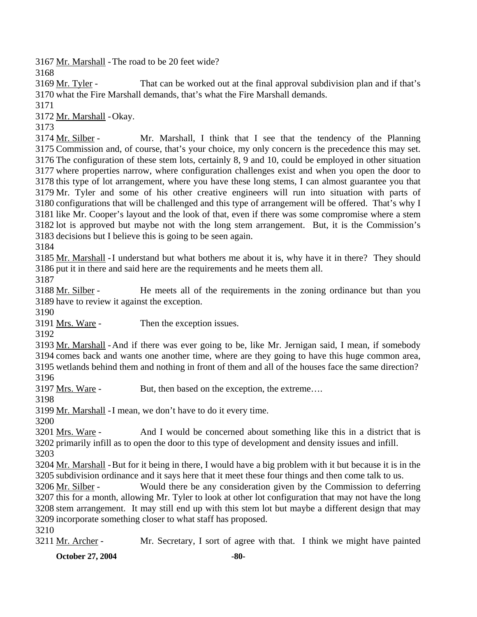3167 Mr. Marshall - The road to be 20 feet wide?

3168

That can be worked out at the final approval subdivision plan and if that's 3170 what the Fire Marshall demands, that's what the Fire Marshall demands. 3169 Mr. Tyler -

3171

3172 Mr. Marshall - Okay.

3173

Mr. Marshall, I think that I see that the tendency of the Planning 3175 Commission and, of course, that's your choice, my only concern is the precedence this may set. 3176 The configuration of these stem lots, certainly 8, 9 and 10, could be employed in other situation 3177 where properties narrow, where configuration challenges exist and when you open the door to 3178 this type of lot arrangement, where you have these long stems, I can almost guarantee you that 3179 Mr. Tyler and some of his other creative engineers will run into situation with parts of 3180 configurations that will be challenged and this type of arrangement will be offered. That's why I 3181 like Mr. Cooper's layout and the look of that, even if there was some compromise where a stem 3182 lot is approved but maybe not with the long stem arrangement. But, it is the Commission's 3183 decisions but I believe this is going to be seen again. 3174 Mr. Silber -

3184

3185 Mr. Marshall - I understand but what bothers me about it is, why have it in there? They should 3186 put it in there and said here are the requirements and he meets them all.

3187

He meets all of the requirements in the zoning ordinance but than you 3189 have to review it against the exception. 3188 Mr. Silber -

3190

3191 Mrs. Ware - Then the exception issues.

3192

3193 Mr. Marshall - And if there was ever going to be, like Mr. Jernigan said, I mean, if somebody 3194 comes back and wants one another time, where are they going to have this huge common area, 3195 wetlands behind them and nothing in front of them and all of the houses face the same direction? 3196

3197 <u>Mrs. Ware</u> - But, then based on the exception, the extreme....

3198

3199 Mr. Marshall - I mean, we don't have to do it every time.

3200

And I would be concerned about something like this in a district that is 3202 primarily infill as to open the door to this type of development and density issues and infill. 3201 Mrs. Ware -

3203

3204 Mr. Marshall - But for it being in there, I would have a big problem with it but because it is in the 3205 subdivision ordinance and it says here that it meet these four things and then come talk to us.

Would there be any consideration given by the Commission to deferring 3207 this for a month, allowing Mr. Tyler to look at other lot configuration that may not have the long 3208 stem arrangement. It may still end up with this stem lot but maybe a different design that may 3209 incorporate something closer to what staff has proposed. 3206 Mr. Silber -

3210

3211 Mr. Archer - Mr. Secretary, I sort of agree with that. I think we might have painted

**October 27, 2004** -80-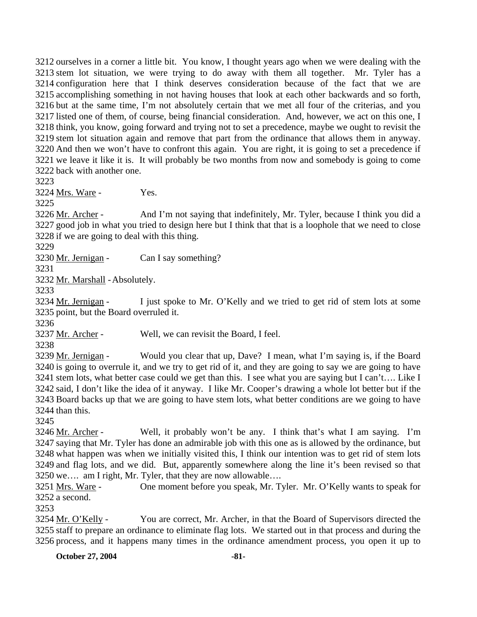ourselves in a corner a little bit. You know, I thought years ago when we were dealing with the stem lot situation, we were trying to do away with them all together. Mr. Tyler has a configuration here that I think deserves consideration because of the fact that we are accomplishing something in not having houses that look at each other backwards and so forth, but at the same time, I'm not absolutely certain that we met all four of the criterias, and you listed one of them, of course, being financial consideration. And, however, we act on this one, I think, you know, going forward and trying not to set a precedence, maybe we ought to revisit the stem lot situation again and remove that part from the ordinance that allows them in anyway. And then we won't have to confront this again. You are right, it is going to set a precedence if we leave it like it is. It will probably be two months from now and somebody is going to come back with another one.

3223

3224 Mrs. Ware - Yes.

3225

And I'm not saying that indefinitely, Mr. Tyler, because I think you did a 3227 good job in what you tried to design here but I think that that is a loophole that we need to close 3228 if we are going to deal with this thing. 3226 Mr. Archer -

3229

3230 Mr. Jernigan - Can I say something?

3231

3232 Mr. Marshall - Absolutely.

3233

I just spoke to Mr. O'Kelly and we tried to get rid of stem lots at some 3235 point, but the Board overruled it. 3234 Mr. Jernigan -

3236

3237 Mr. Archer - Well, we can revisit the Board, I feel.

3238

Would you clear that up, Dave? I mean, what I'm saying is, if the Board 3240 is going to overrule it, and we try to get rid of it, and they are going to say we are going to have 3241 stem lots, what better case could we get than this. I see what you are saying but I can't.... Like I 3242 said, I don't like the idea of it anyway. I like Mr. Cooper's drawing a whole lot better but if the 3243 Board backs up that we are going to have stem lots, what better conditions are we going to have  $3244$  than this. 3239 Mr. Jernigan -

3245

Well, it probably won't be any. I think that's what I am saying. I'm 3247 saying that Mr. Tyler has done an admirable job with this one as is allowed by the ordinance, but 3248 what happen was when we initially visited this, I think our intention was to get rid of stem lots 3249 and flag lots, and we did. But, apparently somewhere along the line it's been revised so that 3250 we.... am I right, Mr. Tyler, that they are now allowable.... 3246 Mr. Archer -

One moment before you speak, Mr. Tyler. Mr. O'Kelly wants to speak for  $3252$  a second. 3251 Mrs. Ware -

3253

You are correct, Mr. Archer, in that the Board of Supervisors directed the 3255 staff to prepare an ordinance to eliminate flag lots. We started out in that process and during the 3256 process, and it happens many times in the ordinance amendment process, you open it up to 3254 Mr. O'Kelly -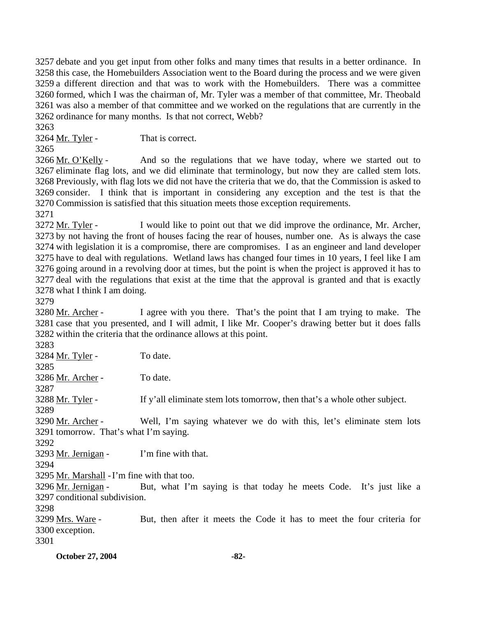debate and you get input from other folks and many times that results in a better ordinance. In this case, the Homebuilders Association went to the Board during the process and we were given a different direction and that was to work with the Homebuilders. There was a committee formed, which I was the chairman of, Mr. Tyler was a member of that committee, Mr. Theobald was also a member of that committee and we worked on the regulations that are currently in the ordinance for many months. Is that not correct, Webb?

3263

3264 Mr. Tyler - That is correct.

3265

And so the regulations that we have today, where we started out to 3267 eliminate flag lots, and we did eliminate that terminology, but now they are called stem lots. 3268 Previously, with flag lots we did not have the criteria that we do, that the Commission is asked to 3269 consider. I think that is important in considering any exception and the test is that the 3270 Commission is satisfied that this situation meets those exception requirements. 3266 Mr. O'Kelly -

3271

I would like to point out that we did improve the ordinance, Mr. Archer, 3273 by not having the front of houses facing the rear of houses, number one. As is always the case 3274 with legislation it is a compromise, there are compromises. I as an engineer and land developer 3275 have to deal with regulations. Wetland laws has changed four times in 10 years, I feel like I am 3276 going around in a revolving door at times, but the point is when the project is approved it has to 3277 deal with the regulations that exist at the time that the approval is granted and that is exactly 3278 what I think I am doing. 3272 Mr. Tyler -

3279

I agree with you there. That's the point that I am trying to make. The 3281 case that you presented, and I will admit, I like Mr. Cooper's drawing better but it does falls 3282 within the criteria that the ordinance allows at this point. 3280 Mr. Archer -

3283 3284 Mr. Tyler - To date. 3285 3286 Mr. Archer - To date. 3287 3288 Mr. Tyler - If y'all eliminate stem lots tomorrow, then that's a whole other subject. 3289 Well, I'm saying whatever we do with this, let's eliminate stem lots 3291 tomorrow. That's what I'm saying. 3290 Mr. Archer -3292  $3293$  Mr. Jernigan - I'm fine with that. 3294 3295 Mr. Marshall - I'm fine with that too. But, what I'm saying is that today he meets Code. It's just like a 3297 conditional subdivision. 3296 Mr. Jernigan -3298 But, then after it meets the Code it has to meet the four criteria for 3300 exception. 3299 Mrs. Ware -3301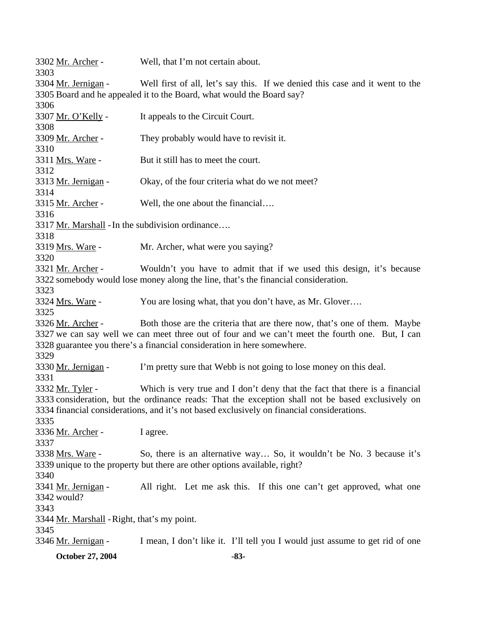| 3346 <u>Mr. Jernigan</u> -                                                                        |                                                                       | I mean, I don't like it. I'll tell you I would just assume to get rid of one                    |  |  |
|---------------------------------------------------------------------------------------------------|-----------------------------------------------------------------------|-------------------------------------------------------------------------------------------------|--|--|
| 3345                                                                                              |                                                                       |                                                                                                 |  |  |
| 3344 Mr. Marshall - Right, that's my point.                                                       |                                                                       |                                                                                                 |  |  |
| 3343                                                                                              |                                                                       |                                                                                                 |  |  |
| 3342 would?                                                                                       |                                                                       |                                                                                                 |  |  |
| 3341 <u>Mr. Jernigan</u> -                                                                        |                                                                       | All right. Let me ask this. If this one can't get approved, what one                            |  |  |
| 3339 unique to the property but there are other options available, right?<br>3340                 |                                                                       |                                                                                                 |  |  |
| 3338 <u>Mrs. Ware</u> -                                                                           |                                                                       | So, there is an alternative way So, it wouldn't be No. 3 because it's                           |  |  |
| 3337                                                                                              |                                                                       |                                                                                                 |  |  |
| 3336 Mr. Archer -                                                                                 | I agree.                                                              |                                                                                                 |  |  |
| 3335                                                                                              |                                                                       |                                                                                                 |  |  |
|                                                                                                   |                                                                       | 3334 financial considerations, and it's not based exclusively on financial considerations.      |  |  |
| 3333 consideration, but the ordinance reads: That the exception shall not be based exclusively on |                                                                       |                                                                                                 |  |  |
| 3332 Mr. Tyler -                                                                                  |                                                                       | Which is very true and I don't deny that the fact that there is a financial                     |  |  |
| 3331                                                                                              |                                                                       |                                                                                                 |  |  |
| 3330 <u>Mr. Jernigan</u> -                                                                        |                                                                       | I'm pretty sure that Webb is not going to lose money on this deal.                              |  |  |
| 3329                                                                                              |                                                                       |                                                                                                 |  |  |
| 3328 guarantee you there's a financial consideration in here somewhere.                           |                                                                       |                                                                                                 |  |  |
|                                                                                                   |                                                                       | 3327 we can say well we can meet three out of four and we can't meet the fourth one. But, I can |  |  |
| 3326 Mr. Archer -                                                                                 |                                                                       | Both those are the criteria that are there now, that's one of them. Maybe                       |  |  |
| 3325                                                                                              |                                                                       |                                                                                                 |  |  |
| 3324 <u>Mrs. Ware</u> -                                                                           |                                                                       | You are losing what, that you don't have, as Mr. Glover                                         |  |  |
| 3323                                                                                              |                                                                       | 3322 somebody would lose money along the line, that's the financial consideration.              |  |  |
| 3321 <u>Mr. Archer</u> -                                                                          |                                                                       | Wouldn't you have to admit that if we used this design, it's because                            |  |  |
| 3320                                                                                              |                                                                       |                                                                                                 |  |  |
| 3319 <u>Mrs. Ware</u> -                                                                           | Mr. Archer, what were you saying?                                     |                                                                                                 |  |  |
| 3318                                                                                              |                                                                       |                                                                                                 |  |  |
| 3317 Mr. Marshall - In the subdivision ordinance                                                  |                                                                       |                                                                                                 |  |  |
| 3316                                                                                              |                                                                       |                                                                                                 |  |  |
| 3315 Mr. Archer -                                                                                 | Well, the one about the financial                                     |                                                                                                 |  |  |
| 3314                                                                                              |                                                                       |                                                                                                 |  |  |
| 3313 Mr. Jernigan -                                                                               | Okay, of the four criteria what do we not meet?                       |                                                                                                 |  |  |
| 3312                                                                                              |                                                                       |                                                                                                 |  |  |
| 3311 <u>Mrs. Ware</u> -                                                                           | But it still has to meet the court.                                   |                                                                                                 |  |  |
| 3310                                                                                              |                                                                       |                                                                                                 |  |  |
| 3309 Mr. Archer -                                                                                 | They probably would have to revisit it.                               |                                                                                                 |  |  |
| 3308                                                                                              |                                                                       |                                                                                                 |  |  |
| 3307 <u>Mr. O'Kelly</u> -                                                                         | It appeals to the Circuit Court.                                      |                                                                                                 |  |  |
| 3306                                                                                              |                                                                       |                                                                                                 |  |  |
|                                                                                                   | 3305 Board and he appealed it to the Board, what would the Board say? |                                                                                                 |  |  |
| 3304 <u>Mr. Jernigan</u> -                                                                        |                                                                       | Well first of all, let's say this. If we denied this case and it went to the                    |  |  |
| 3303                                                                                              |                                                                       |                                                                                                 |  |  |
| 3302 Mr. Archer -                                                                                 | Well, that I'm not certain about.                                     |                                                                                                 |  |  |
|                                                                                                   |                                                                       |                                                                                                 |  |  |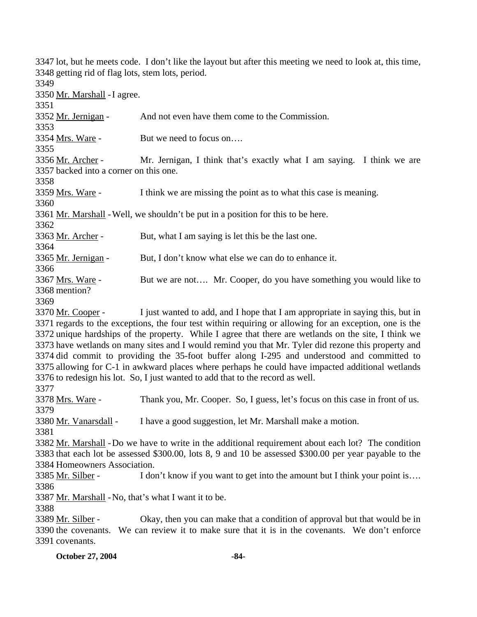**October 27, 2004** -84-3347 lot, but he meets code. I don't like the layout but after this meeting we need to look at, this time, 3348 getting rid of flag lots, stem lots, period. 3349 3350 Mr. Marshall - I agree. 3351 3352 Mr. Jernigan - And not even have them come to the Commission. 3353 3354 Mrs. Ware - But we need to focus on…. 3355 Mr. Jernigan, I think that's exactly what I am saying. I think we are 3357 backed into a corner on this one. 3356 Mr. Archer -3358 3359 Mrs. Ware - I think we are missing the point as to what this case is meaning. 3360 3361 Mr. Marshall - Well, we shouldn't be put in a position for this to be here. 3362 3363 Mr. Archer - But, what I am saying is let this be the last one. 3364 3365 Mr. Jernigan - But, I don't know what else we can do to enhance it. 3366 But we are not.... Mr. Cooper, do you have something you would like to 3368 mention? 3367 Mrs. Ware -3369 I just wanted to add, and I hope that I am appropriate in saying this, but in 3371 regards to the exceptions, the four test within requiring or allowing for an exception, one is the 3372 unique hardships of the property. While I agree that there are wetlands on the site, I think we 3373 have wetlands on many sites and I would remind you that Mr. Tyler did rezone this property and 3374 did commit to providing the 35-foot buffer along I-295 and understood and committed to 3375 allowing for C-1 in awkward places where perhaps he could have impacted additional wetlands  $3376$  to redesign his lot. So, I just wanted to add that to the record as well. 3370 Mr. Cooper -3377 3378 Mrs. Ware - Thank you, Mr. Cooper. So, I guess, let's focus on this case in front of us. 3379 3380 Mr. Vanarsdall - I have a good suggestion, let Mr. Marshall make a motion. 3381 3382 Mr. Marshall - Do we have to write in the additional requirement about each lot? The condition 3383 that each lot be assessed \$300.00, lots 8, 9 and 10 be assessed \$300.00 per year payable to the 3384 Homeowners Association. 3385 Mr. Silber - I don't know if you want to get into the amount but I think your point is... 3386 3387 Mr. Marshall - No, that's what I want it to be. 3388 Okay, then you can make that a condition of approval but that would be in 3390 the covenants. We can review it to make sure that it is in the covenants. We don't enforce 3391 covenants. 3389 Mr. Silber -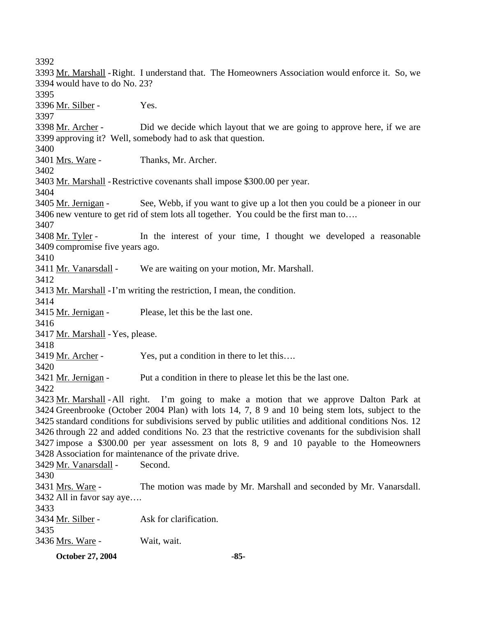3392 3393 Mr. Marshall - Right. I understand that. The Homeowners Association would enforce it. So, we 3394 would have to do No. 23? 3395 3396 Mr. Silber - Yes. 3397 Did we decide which layout that we are going to approve here, if we are 3399 approving it? Well, somebody had to ask that question. 3398 Mr. Archer -3400 3401 Mrs. Ware - Thanks, Mr. Archer. 3402 3403 Mr. Marshall - Restrictive covenants shall impose \$300.00 per year. 3404 See, Webb, if you want to give up a lot then you could be a pioneer in our 3406 new venture to get rid of stem lots all together. You could be the first man to.... 3405 Mr. Jernigan -3407 In the interest of your time, I thought we developed a reasonable 3409 compromise five years ago. 3408 Mr. Tyler -3410 3411 Mr. Vanarsdall - We are waiting on your motion, Mr. Marshall. 3412 3413 Mr. Marshall - I'm writing the restriction, I mean, the condition. 3414 3415 Mr. Jernigan - Please, let this be the last one. 3416 3417 Mr. Marshall - Yes, please. 3418 3419 Mr. Archer - Yes, put a condition in there to let this.... 3420 3421 Mr. Jernigan - Put a condition in there to please let this be the last one. 3422 3423 Mr. Marshall - All right. I'm going to make a motion that we approve Dalton Park at 3424 Greenbrooke (October 2004 Plan) with lots 14, 7, 8 9 and 10 being stem lots, subject to the 3425 standard conditions for subdivisions served by public utilities and additional conditions Nos. 12 3426 through 22 and added conditions No. 23 that the restrictive covenants for the subdivision shall 3427 impose a \$300.00 per year assessment on lots 8, 9 and 10 payable to the Homeowners 3428 Association for maintenance of the private drive. 3429 Mr. Vanarsdall - Second. 3430 The motion was made by Mr. Marshall and seconded by Mr. Vanarsdall. 3432 All in favor say aye.... 3431 Mrs. Ware -3433 3434 Mr. Silber - Ask for clarification. 3435 3436 Mrs. Ware - Wait, wait.

**October 27, 2004** -85-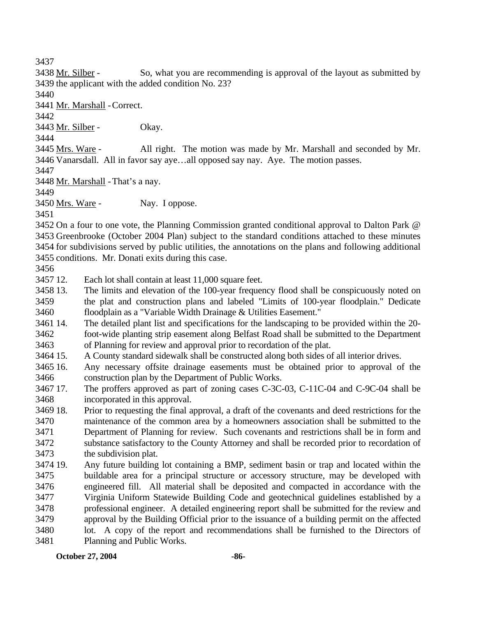3437

So, what you are recommending is approval of the layout as submitted by 3439 the applicant with the added condition No. 23? 3438 Mr. Silber -

3440

3441 Mr. Marshall - Correct.

3442

3443 Mr. Silber - Okay.

3444

All right. The motion was made by Mr. Marshall and seconded by Mr. 3446 Vanarsdall. All in favor say aye...all opposed say nay. Aye. The motion passes. 3445 Mrs. Ware -

3447

3448 Mr. Marshall - That's a nay.

3449

3450 Mrs. Ware - Nay. I oppose.

3451

 On a four to one vote, the Planning Commission granted conditional approval to Dalton Park @ Greenbrooke (October 2004 Plan) subject to the standard conditions attached to these minutes for subdivisions served by public utilities, the annotations on the plans and following additional conditions. Mr. Donati exits during this case.

3456

3457 12. Each lot shall contain at least 11,000 square feet.

- 3458.13 3459 3460 The limits and elevation of the 100-year frequency flood shall be conspicuously noted on the plat and construction plans and labeled "Limits of 100-year floodplain." Dedicate floodplain as a "Variable Width Drainage & Utilities Easement."
- 3461 14 3462 3463 The detailed plant list and specifications for the landscaping to be provided within the 20foot-wide planting strip easement along Belfast Road shall be submitted to the Department of Planning for review and approval prior to recordation of the plat.

3464 15. 15. A County standard sidewalk shall be constructed along both sides of all interior drives.

3465 16. 3466 16. Any necessary offsite drainage easements must be obtained prior to approval of the construction plan by the Department of Public Works.

- 3467 17. 3468 The proffers approved as part of zoning cases C-3C-03, C-11C-04 and C-9C-04 shall be incorporated in this approval.
- 3469 18. 3470 3471 3472 3473 18. Prior to requesting the final approval, a draft of the covenants and deed restrictions for the maintenance of the common area by a homeowners association shall be submitted to the Department of Planning for review. Such covenants and restrictions shall be in form and substance satisfactory to the County Attorney and shall be recorded prior to recordation of the subdivision plat.
- 3474 19. 3475 3476 3477 3478 3479 3480 3481 19. Any future building lot containing a BMP, sediment basin or trap and located within the buildable area for a principal structure or accessory structure, may be developed with engineered fill. All material shall be deposited and compacted in accordance with the Virginia Uniform Statewide Building Code and geotechnical guidelines established by a professional engineer. A detailed engineering report shall be submitted for the review and approval by the Building Official prior to the issuance of a building permit on the affected lot. A copy of the report and recommendations shall be furnished to the Directors of Planning and Public Works.

**October 27, 2004** -86-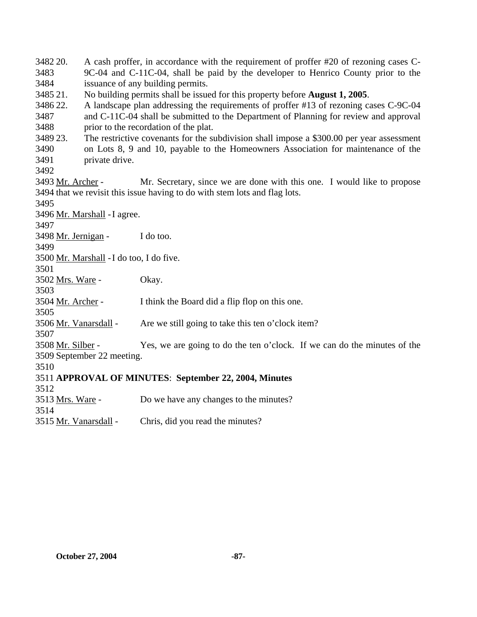3482 20. 3483 3484 3485 21. 3486 22. 3487 3488 3489 23. 3490 3491 3492 A cash proffer, in accordance with the requirement of proffer #20 of rezoning cases C-9C-04 and C-11C-04, shall be paid by the developer to Henrico County prior to the issuance of any building permits. 21. No building permits shall be issued for this property before **August 1, 2005**. 22. A landscape plan addressing the requirements of proffer #13 of rezoning cases C-9C-04 and C-11C-04 shall be submitted to the Department of Planning for review and approval prior to the recordation of the plat. The restrictive covenants for the subdivision shall impose a \$300.00 per year assessment on Lots 8, 9 and 10, payable to the Homeowners Association for maintenance of the private drive. Mr. Secretary, since we are done with this one. I would like to propose 3494 that we revisit this issue having to do with stem lots and flag lots. 3493 Mr. Archer -3495 3496 Mr. Marshall - I agree. 3497 3498 Mr. Jernigan - I do too. 3499 3500 Mr. Marshall - I do too, I do five. 3501 3502 Mrs. Ware - Okay. 3503 3504 Mr. Archer - I think the Board did a flip flop on this one. 3505 3506 Mr. Vanarsdall - Are we still going to take this ten o'clock item? 3507 Yes, we are going to do the ten o'clock. If we can do the minutes of the 3509 September 22 meeting. 3508 Mr. Silber -3510 3511 **APPROVAL OF MINUTES**: **September 22, 2004, Minutes** 3512 3513 Mrs. Ware - Do we have any changes to the minutes? 3514 3515 Mr. Vanarsdall - Chris, did you read the minutes?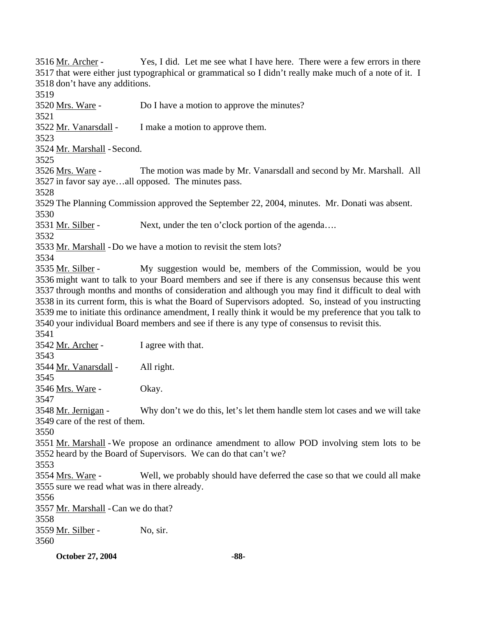**October 27, 2004** -88-Yes, I did. Let me see what I have here. There were a few errors in there 3517 that were either just typographical or grammatical so I didn't really make much of a note of it. I 3518 don't have any additions. 3516 Mr. Archer -3519 3520 <u>Mrs. Ware</u> - Do I have a motion to approve the minutes? 3521 3522 Mr. Vanarsdall - I make a motion to approve them. 3523 3524 Mr. Marshall - Second. 3525 The motion was made by Mr. Vanarsdall and second by Mr. Marshall. All 3527 in favor say aye...all opposed. The minutes pass. 3526 Mrs. Ware -3528 3529 The Planning Commission approved the September 22, 2004, minutes. Mr. Donati was absent. 3530 3531 Mr. Silber - Next, under the ten o'clock portion of the agenda... 3532 3533 Mr. Marshall - Do we have a motion to revisit the stem lots? 3534 My suggestion would be, members of the Commission, would be you 3536 might want to talk to your Board members and see if there is any consensus because this went 3537 through months and months of consideration and although you may find it difficult to deal with 3538 in its current form, this is what the Board of Supervisors adopted. So, instead of you instructing 3539 me to initiate this ordinance amendment, I really think it would be my preference that you talk to 3540 your individual Board members and see if there is any type of consensus to revisit this. 3535 Mr. Silber -3541 3542 Mr. Archer - I agree with that. 3543 3544 Mr. Vanarsdall - All right. 3545 3546 Mrs. Ware - Okay. 3547 Why don't we do this, let's let them handle stem lot cases and we will take 3549 care of the rest of them. 3548 Mr. Jernigan -3550 3551 Mr. Marshall - We propose an ordinance amendment to allow POD involving stem lots to be 3552 heard by the Board of Supervisors. We can do that can't we? 3553 Well, we probably should have deferred the case so that we could all make 3555 sure we read what was in there already. 3554 Mrs. Ware -3556 3557 Mr. Marshall - Can we do that? 3558 3559 Mr. Silber - No, sir. 3560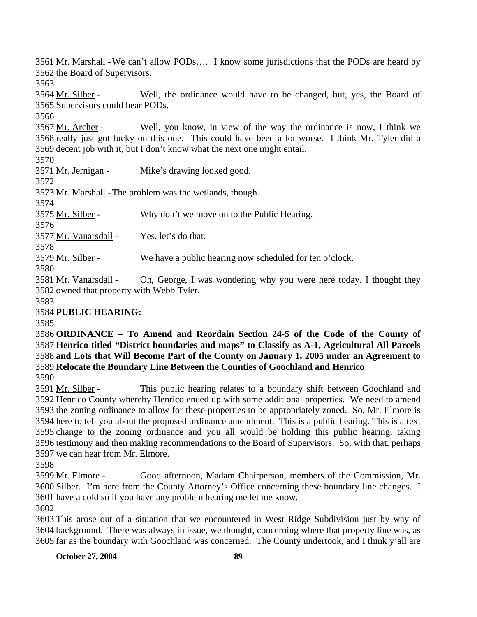3561 Mr. Marshall - We can't allow PODs.... I know some jurisdictions that the PODs are heard by 3562 the Board of Supervisors.

3563

Well, the ordinance would have to be changed, but, yes, the Board of 3565 Supervisors could hear PODs. 3564 Mr. Silber -

3566

Well, you know, in view of the way the ordinance is now, I think we 3568 really just got lucky on this one. This could have been a lot worse. I think Mr. Tyler did a 3569 decent job with it, but I don't know what the next one might entail. 3567 Mr. Archer -

3570

3571 Mr. Jernigan - Mike's drawing looked good. 3572 3573 Mr. Marshall - The problem was the wetlands, though. 3574 3575 Mr. Silber - Why don't we move on to the Public Hearing. 3576 3577 Mr. Vanarsdall - Yes, let's do that. 3578 3579 Mr. Silber - We have a public hearing now scheduled for ten o'clock.

3580

Oh, George, I was wondering why you were here today. I thought they 3582 owned that property with Webb Tyler. 3581 Mr. Vanarsdall -

3583

3584 **PUBLIC HEARING:** 

3585

 **ORDINANCE – To Amend and Reordain Section 24-5 of the Code of the County of Henrico titled "District boundaries and maps" to Classify as A-1, Agricultural All Parcels and Lots that Will Become Part of the County on January 1, 2005 under an Agreement to Relocate the Boundary Line Between the Counties of Goochland and Henrico**

3590

This public hearing relates to a boundary shift between Goochland and 3592 Henrico County whereby Henrico ended up with some additional properties. We need to amend 3593 the zoning ordinance to allow for these properties to be appropriately zoned. So, Mr. Elmore is 3594 here to tell you about the proposed ordinance amendment. This is a public hearing. This is a text 3595 change to the zoning ordinance and you all would be holding this public hearing, taking 3596 testimony and then making recommendations to the Board of Supervisors. So, with that, perhaps 3597 we can hear from Mr. Elmore. 3591 Mr. Silber -

3598

Good afternoon, Madam Chairperson, members of the Commission, Mr. 3600 Silber. I'm here from the County Attorney's Office concerning these boundary line changes. I 3601 have a cold so if you have any problem hearing me let me know. 3599 Mr. Elmore -

3602

3603 This arose out of a situation that we encountered in West Ridge Subdivision just by way of 3604 background. There was always in issue, we thought, concerning where that property line was, as 3605 far as the boundary with Goochland was concerned. The County undertook, and I think y'all are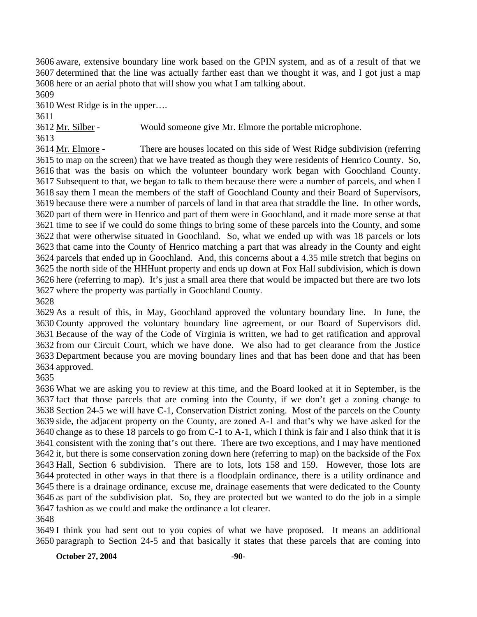aware, extensive boundary line work based on the GPIN system, and as of a result of that we determined that the line was actually farther east than we thought it was, and I got just a map here or an aerial photo that will show you what I am talking about.

West Ridge is in the upper….

3612 Mr. Silber - Would someone give Mr. Elmore the portable microphone.

There are houses located on this side of West Ridge subdivision (referring 3615 to map on the screen) that we have treated as though they were residents of Henrico County. So, 3616 that was the basis on which the volunteer boundary work began with Goochland County. 3617 Subsequent to that, we began to talk to them because there were a number of parcels, and when I 3618 say them I mean the members of the staff of Goochland County and their Board of Supervisors, 3619 because there were a number of parcels of land in that area that straddle the line. In other words, 3620 part of them were in Henrico and part of them were in Goochland, and it made more sense at that 3621 time to see if we could do some things to bring some of these parcels into the County, and some 3622 that were otherwise situated in Goochland. So, what we ended up with was 18 parcels or lots 3623 that came into the County of Henrico matching a part that was already in the County and eight 3624 parcels that ended up in Goochland. And, this concerns about a 4.35 mile stretch that begins on 3625 the north side of the HHHunt property and ends up down at Fox Hall subdivision, which is down 3626 here (referring to map). It's just a small area there that would be impacted but there are two lots 3627 where the property was partially in Goochland County. 3614 Mr. Elmore -

 As a result of this, in May, Goochland approved the voluntary boundary line. In June, the County approved the voluntary boundary line agreement, or our Board of Supervisors did. Because of the way of the Code of Virginia is written, we had to get ratification and approval from our Circuit Court, which we have done. We also had to get clearance from the Justice Department because you are moving boundary lines and that has been done and that has been approved.

 What we are asking you to review at this time, and the Board looked at it in September, is the fact that those parcels that are coming into the County, if we don't get a zoning change to Section 24-5 we will have C-1, Conservation District zoning. Most of the parcels on the County side, the adjacent property on the County, are zoned A-1 and that's why we have asked for the change as to these 18 parcels to go from C-1 to A-1, which I think is fair and I also think that it is consistent with the zoning that's out there. There are two exceptions, and I may have mentioned it, but there is some conservation zoning down here (referring to map) on the backside of the Fox Hall, Section 6 subdivision. There are to lots, lots 158 and 159. However, those lots are protected in other ways in that there is a floodplain ordinance, there is a utility ordinance and there is a drainage ordinance, excuse me, drainage easements that were dedicated to the County as part of the subdivision plat. So, they are protected but we wanted to do the job in a simple fashion as we could and make the ordinance a lot clearer.

 I think you had sent out to you copies of what we have proposed. It means an additional paragraph to Section 24-5 and that basically it states that these parcels that are coming into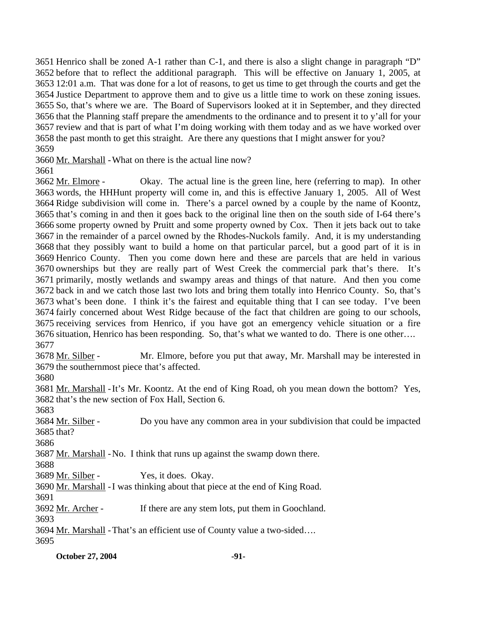Henrico shall be zoned A-1 rather than C-1, and there is also a slight change in paragraph "D" before that to reflect the additional paragraph. This will be effective on January 1, 2005, at 12:01 a.m. That was done for a lot of reasons, to get us time to get through the courts and get the Justice Department to approve them and to give us a little time to work on these zoning issues. So, that's where we are. The Board of Supervisors looked at it in September, and they directed that the Planning staff prepare the amendments to the ordinance and to present it to y'all for your review and that is part of what I'm doing working with them today and as we have worked over the past month to get this straight. Are there any questions that I might answer for you? 3659

3660 Mr. Marshall - What on there is the actual line now?

3661

Okay. The actual line is the green line, here (referring to map). In other 3663 words, the HHHunt property will come in, and this is effective January 1, 2005. All of West 3664 Ridge subdivision will come in. There's a parcel owned by a couple by the name of Koontz, 3665 that's coming in and then it goes back to the original line then on the south side of I-64 there's 3666 some property owned by Pruitt and some property owned by Cox. Then it jets back out to take 3667 in the remainder of a parcel owned by the Rhodes-Nuckols family. And, it is my understanding 3668 that they possibly want to build a home on that particular parcel, but a good part of it is in 3669 Henrico County. Then you come down here and these are parcels that are held in various 3670 ownerships but they are really part of West Creek the commercial park that's there. It's 3671 primarily, mostly wetlands and swampy areas and things of that nature. And then you come 3672 back in and we catch those last two lots and bring them totally into Henrico County. So, that's 3673 what's been done. I think it's the fairest and equitable thing that I can see today. I've been 3674 fairly concerned about West Ridge because of the fact that children are going to our schools, 3675 receiving services from Henrico, if you have got an emergency vehicle situation or a fire 3676 situation, Henrico has been responding. So, that's what we wanted to do. There is one other.... 3662 Mr. Elmore -3677

Mr. Elmore, before you put that away, Mr. Marshall may be interested in 3679 the southernmost piece that's affected. 3678 Mr. Silber -

3680

3681 Mr. Marshall - It's Mr. Koontz. At the end of King Road, oh you mean down the bottom? Yes, 3682 that's the new section of Fox Hall, Section 6.

3683

Do you have any common area in your subdivision that could be impacted 3685 that? 3684 Mr. Silber -

3686

3687 Mr. Marshall - No. I think that runs up against the swamp down there.

3688

3689 Mr. Silber - Yes, it does. Okay.

3690 Mr. Marshall - I was thinking about that piece at the end of King Road.

3691

3692 Mr. Archer - If there are any stem lots, put them in Goochland.

3693

3694 Mr. Marshall - That's an efficient use of County value a two-sided….

3695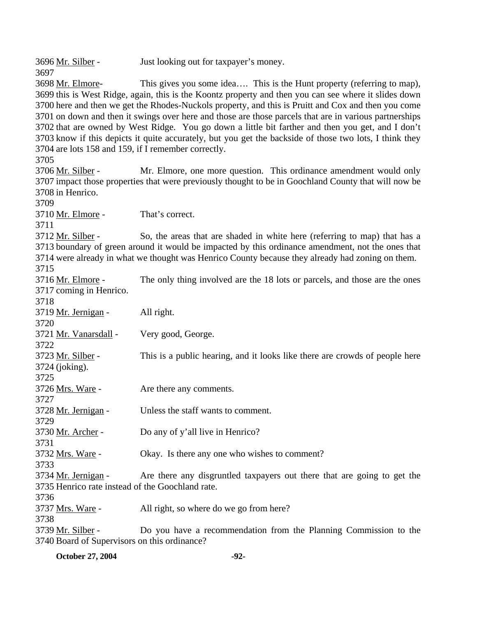3696 Mr. Silber - Just looking out for taxpayer's money. 3697 This gives you some idea…. This is the Hunt property (referring to map), 3699 this is West Ridge, again, this is the Koontz property and then you can see where it slides down 3700 here and then we get the Rhodes-Nuckols property, and this is Pruitt and Cox and then you come 3701 on down and then it swings over here and those are those parcels that are in various partnerships 3702 that are owned by West Ridge. You go down a little bit farther and then you get, and I don't 3703 know if this depicts it quite accurately, but you get the backside of those two lots, I think they 3704 are lots 158 and 159, if I remember correctly. 3698 Mr. Elmore-3705 Mr. Elmore, one more question. This ordinance amendment would only 3707 impact those properties that were previously thought to be in Goochland County that will now be 3708 in Henrico. 3706 Mr. Silber -3709 3710 Mr. Elmore - That's correct. 3711 So, the areas that are shaded in white here (referring to map) that has a 3713 boundary of green around it would be impacted by this ordinance amendment, not the ones that 3714 were already in what we thought was Henrico County because they already had zoning on them. 3712 Mr. Silber -3715 The only thing involved are the 18 lots or parcels, and those are the ones 3717 coming in Henrico. 3716 Mr. Elmore -3718 3719 Mr. Jernigan - All right. 3720 3721 Mr. Vanarsdall - Very good, George. 3722 This is a public hearing, and it looks like there are crowds of people here 3724 (joking). 3723 Mr. Silber -3725 3726 Mrs. Ware - Are there any comments. 3727 3728 Mr. Jernigan - Unless the staff wants to comment. 3729 3730 Mr. Archer - Do any of y'all live in Henrico? 3731 3732 Mrs. Ware - Okay. Is there any one who wishes to comment? 3733 Are there any disgruntled taxpayers out there that are going to get the 3735 Henrico rate instead of the Goochland rate. 3734 Mr. Jernigan -3736 3737 Mrs. Ware - All right, so where do we go from here? 3738 Do you have a recommendation from the Planning Commission to the 3740 Board of Supervisors on this ordinance? 3739 Mr. Silber -

**October 27, 2004** -92-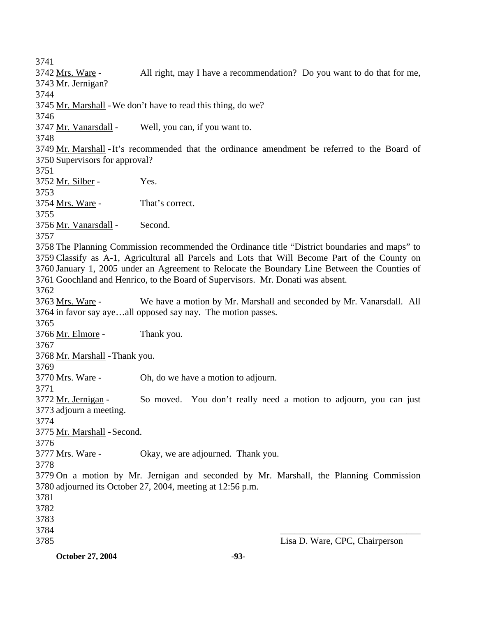3741 All right, may I have a recommendation? Do you want to do that for me, 3743 Mr. Jernigan? 3742 Mrs. Ware -3744 3745 Mr. Marshall - We don't have to read this thing, do we? 3746 3747 Mr. Vanarsdall - Well, you can, if you want to. 3748 3749 Mr. Marshall - It's recommended that the ordinance amendment be referred to the Board of 3750 Supervisors for approval? 3751 3752 Mr. Silber - Yes. 3753 3754 Mrs. Ware - That's correct. 3755 3756 Mr. Vanarsdall - Second. 3757 3758 The Planning Commission recommended the Ordinance title "District boundaries and maps" to 3759 Classify as A-1, Agricultural all Parcels and Lots that Will Become Part of the County on 3760 January 1, 2005 under an Agreement to Relocate the Boundary Line Between the Counties of 3761 Goochland and Henrico, to the Board of Supervisors. Mr. Donati was absent. 3762 We have a motion by Mr. Marshall and seconded by Mr. Vanarsdall. All 3764 in favor say aye...all opposed say nay. The motion passes. 3763 Mrs. Ware -3765 3766 Mr. Elmore - Thank you. 3767 3768 Mr. Marshall - Thank you. 3769 3770 Mrs. Ware - Oh, do we have a motion to adjourn. 3771 So moved. You don't really need a motion to adjourn, you can just 3773 adjourn a meeting. 3772 Mr. Jernigan -3774 3775 Mr. Marshall - Second. 3776 3777 Mrs. Ware - Okay, we are adjourned. Thank you. 3778 3779 On a motion by Mr. Jernigan and seconded by Mr. Marshall, the Planning Commission 3780 adjourned its October 27, 2004, meeting at 12:56 p.m. 3781 3782 3783 3784 3785  $\overline{\phantom{a}}$  , which is a set of the contract of the contract of the contract of the contract of the contract of the contract of the contract of the contract of the contract of the contract of the contract of the contract Lisa D. Ware, CPC, Chairperson

**October 27, 2004** -93